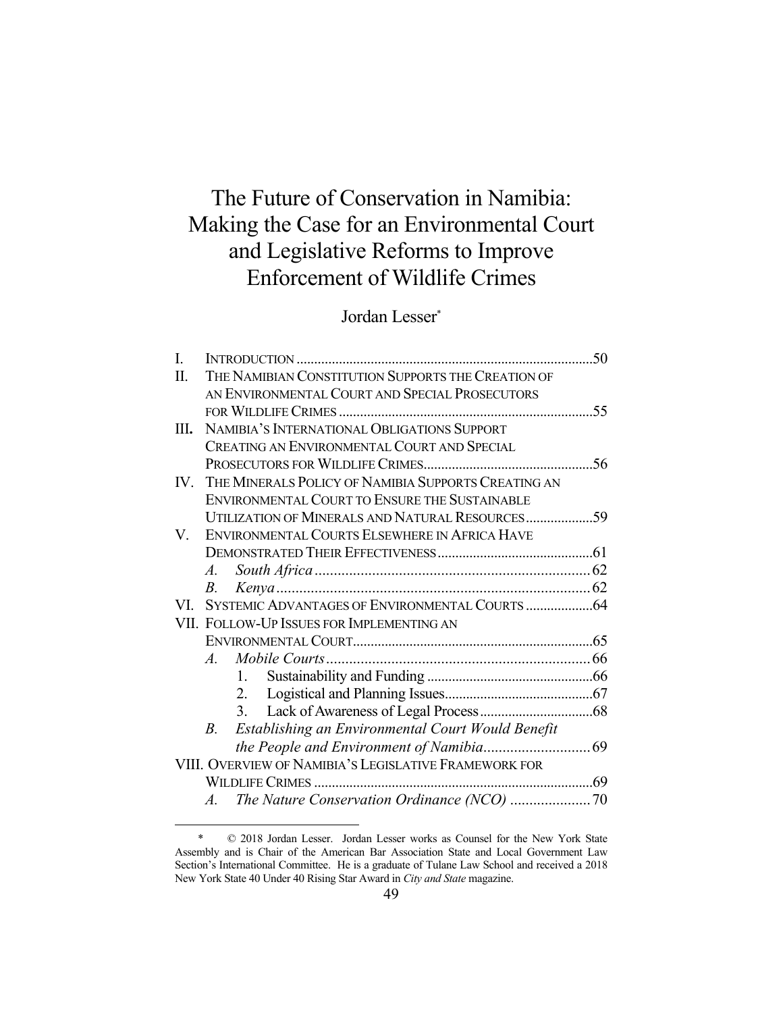# The Future of Conservation in Namibia: Making the Case for an Environmental Court and Legislative Reforms to Improve Enforcement of Wildlife Crimes

## Jordan Lesser\*

| THE NAMIBIAN CONSTITUTION SUPPORTS THE CREATION OF<br>Π.<br>AN ENVIRONMENTAL COURT AND SPECIAL PROSECUTORS<br>NAMIBIA'S INTERNATIONAL OBLIGATIONS SUPPORT<br>Ш.<br>CREATING AN ENVIRONMENTAL COURT AND SPECIAL<br>THE MINERALS POLICY OF NAMIBIA SUPPORTS CREATING AN<br>IV.<br>ENVIRONMENTAL COURT TO ENSURE THE SUSTAINABLE<br>UTILIZATION OF MINERALS AND NATURAL RESOURCES59<br>ENVIRONMENTAL COURTS ELSEWHERE IN AFRICA HAVE<br>V.<br>$A_{\cdot}$<br>В.<br>VI.<br>VII. FOLLOW-UP ISSUES FOR IMPLEMENTING AN<br>$A_{\cdot}$<br>1.<br>2.<br>3.<br>Establishing an Environmental Court Would Benefit<br>B.<br>VIII. OVERVIEW OF NAMIBIA'S LEGISLATIVE FRAMEWORK FOR<br>$A_{\cdot}$ | L. |  |     |  |  |
|--------------------------------------------------------------------------------------------------------------------------------------------------------------------------------------------------------------------------------------------------------------------------------------------------------------------------------------------------------------------------------------------------------------------------------------------------------------------------------------------------------------------------------------------------------------------------------------------------------------------------------------------------------------------------------------|----|--|-----|--|--|
|                                                                                                                                                                                                                                                                                                                                                                                                                                                                                                                                                                                                                                                                                      |    |  |     |  |  |
|                                                                                                                                                                                                                                                                                                                                                                                                                                                                                                                                                                                                                                                                                      |    |  |     |  |  |
|                                                                                                                                                                                                                                                                                                                                                                                                                                                                                                                                                                                                                                                                                      |    |  |     |  |  |
|                                                                                                                                                                                                                                                                                                                                                                                                                                                                                                                                                                                                                                                                                      |    |  |     |  |  |
|                                                                                                                                                                                                                                                                                                                                                                                                                                                                                                                                                                                                                                                                                      |    |  |     |  |  |
|                                                                                                                                                                                                                                                                                                                                                                                                                                                                                                                                                                                                                                                                                      |    |  | .56 |  |  |
|                                                                                                                                                                                                                                                                                                                                                                                                                                                                                                                                                                                                                                                                                      |    |  |     |  |  |
|                                                                                                                                                                                                                                                                                                                                                                                                                                                                                                                                                                                                                                                                                      |    |  |     |  |  |
|                                                                                                                                                                                                                                                                                                                                                                                                                                                                                                                                                                                                                                                                                      |    |  |     |  |  |
|                                                                                                                                                                                                                                                                                                                                                                                                                                                                                                                                                                                                                                                                                      |    |  |     |  |  |
|                                                                                                                                                                                                                                                                                                                                                                                                                                                                                                                                                                                                                                                                                      |    |  |     |  |  |
|                                                                                                                                                                                                                                                                                                                                                                                                                                                                                                                                                                                                                                                                                      |    |  |     |  |  |
|                                                                                                                                                                                                                                                                                                                                                                                                                                                                                                                                                                                                                                                                                      |    |  |     |  |  |
|                                                                                                                                                                                                                                                                                                                                                                                                                                                                                                                                                                                                                                                                                      |    |  |     |  |  |
|                                                                                                                                                                                                                                                                                                                                                                                                                                                                                                                                                                                                                                                                                      |    |  |     |  |  |
|                                                                                                                                                                                                                                                                                                                                                                                                                                                                                                                                                                                                                                                                                      |    |  |     |  |  |
|                                                                                                                                                                                                                                                                                                                                                                                                                                                                                                                                                                                                                                                                                      |    |  |     |  |  |
|                                                                                                                                                                                                                                                                                                                                                                                                                                                                                                                                                                                                                                                                                      |    |  |     |  |  |
|                                                                                                                                                                                                                                                                                                                                                                                                                                                                                                                                                                                                                                                                                      |    |  |     |  |  |
|                                                                                                                                                                                                                                                                                                                                                                                                                                                                                                                                                                                                                                                                                      |    |  |     |  |  |
|                                                                                                                                                                                                                                                                                                                                                                                                                                                                                                                                                                                                                                                                                      |    |  |     |  |  |
|                                                                                                                                                                                                                                                                                                                                                                                                                                                                                                                                                                                                                                                                                      |    |  |     |  |  |
|                                                                                                                                                                                                                                                                                                                                                                                                                                                                                                                                                                                                                                                                                      |    |  |     |  |  |
|                                                                                                                                                                                                                                                                                                                                                                                                                                                                                                                                                                                                                                                                                      |    |  |     |  |  |
|                                                                                                                                                                                                                                                                                                                                                                                                                                                                                                                                                                                                                                                                                      |    |  |     |  |  |

 <sup>\* © 2018</sup> Jordan Lesser. Jordan Lesser works as Counsel for the New York State Assembly and is Chair of the American Bar Association State and Local Government Law Section's International Committee. He is a graduate of Tulane Law School and received a 2018 New York State 40 Under 40 Rising Star Award in *City and State* magazine.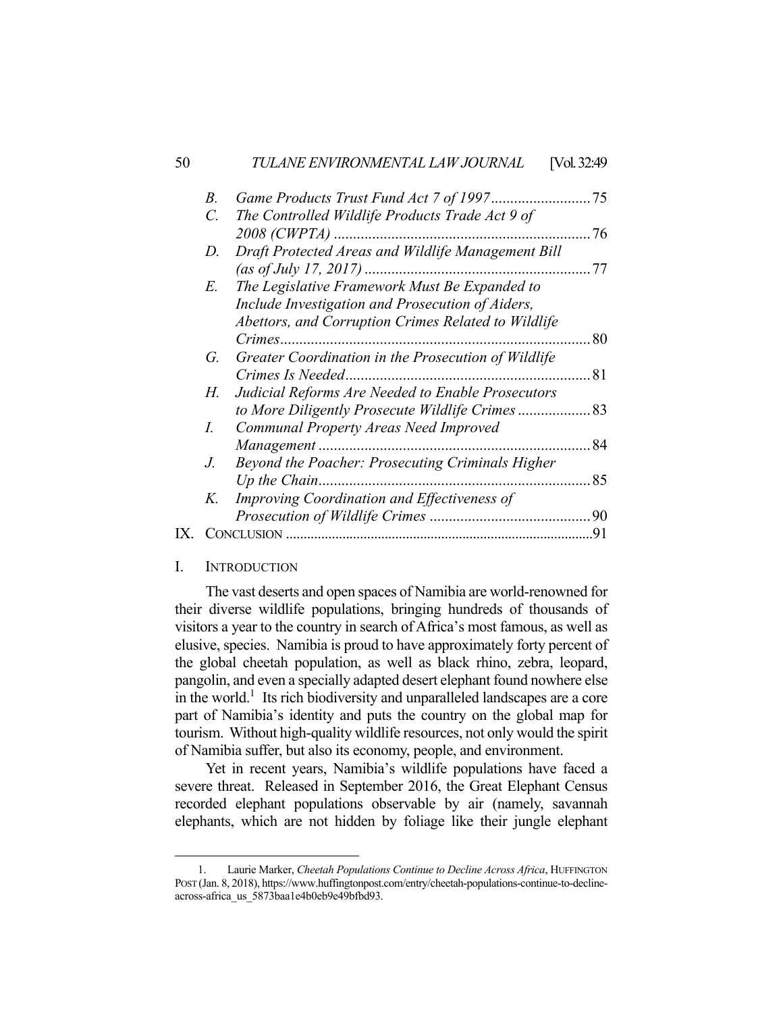| 50 |                 | TULANE ENVIRONMENTAL LAW JOURNAL                    | [Vol. 32:49 |
|----|-----------------|-----------------------------------------------------|-------------|
|    | $B$ .           |                                                     | 75          |
|    | $\mathcal{C}$ . | The Controlled Wildlife Products Trade Act 9 of     |             |
|    |                 |                                                     | .76         |
|    | D.              | Draft Protected Areas and Wildlife Management Bill  |             |
|    |                 | (as of July 17, 2017)                               | 77          |
|    | Е.              | The Legislative Framework Must Be Expanded to       |             |
|    |                 | Include Investigation and Prosecution of Aiders,    |             |
|    |                 | Abettors, and Corruption Crimes Related to Wildlife |             |
|    |                 |                                                     | 80          |
|    | G.              | Greater Coordination in the Prosecution of Wildlife |             |
|    |                 | Crimes Is Needed.                                   | 81          |
|    | Н.              | Judicial Reforms Are Needed to Enable Prosecutors   |             |
|    |                 | to More Diligently Prosecute Wildlife Crimes 83     |             |
|    | I.              | Communal Property Areas Need Improved               |             |
|    |                 |                                                     | 84          |
|    | J.              | Beyond the Poacher: Prosecuting Criminals Higher    |             |
|    |                 | Up the Chain                                        | 85          |
|    | K.              | Improving Coordination and Effectiveness of         |             |
|    |                 |                                                     |             |
|    |                 |                                                     |             |

#### I. INTRODUCTION

<u>.</u>

 The vast deserts and open spaces of Namibia are world-renowned for their diverse wildlife populations, bringing hundreds of thousands of visitors a year to the country in search of Africa's most famous, as well as elusive, species. Namibia is proud to have approximately forty percent of the global cheetah population, as well as black rhino, zebra, leopard, pangolin, and even a specially adapted desert elephant found nowhere else in the world.<sup>1</sup> Its rich biodiversity and unparalleled landscapes are a core part of Namibia's identity and puts the country on the global map for tourism. Without high-quality wildlife resources, not only would the spirit of Namibia suffer, but also its economy, people, and environment.

 Yet in recent years, Namibia's wildlife populations have faced a severe threat. Released in September 2016, the Great Elephant Census recorded elephant populations observable by air (namely, savannah elephants, which are not hidden by foliage like their jungle elephant

 <sup>1.</sup> Laurie Marker, *Cheetah Populations Continue to Decline Across Africa*, HUFFINGTON POST (Jan. 8, 2018), https://www.huffingtonpost.com/entry/cheetah-populations-continue-to-declineacross-africa\_us\_5873baa1e4b0eb9e49bfbd93.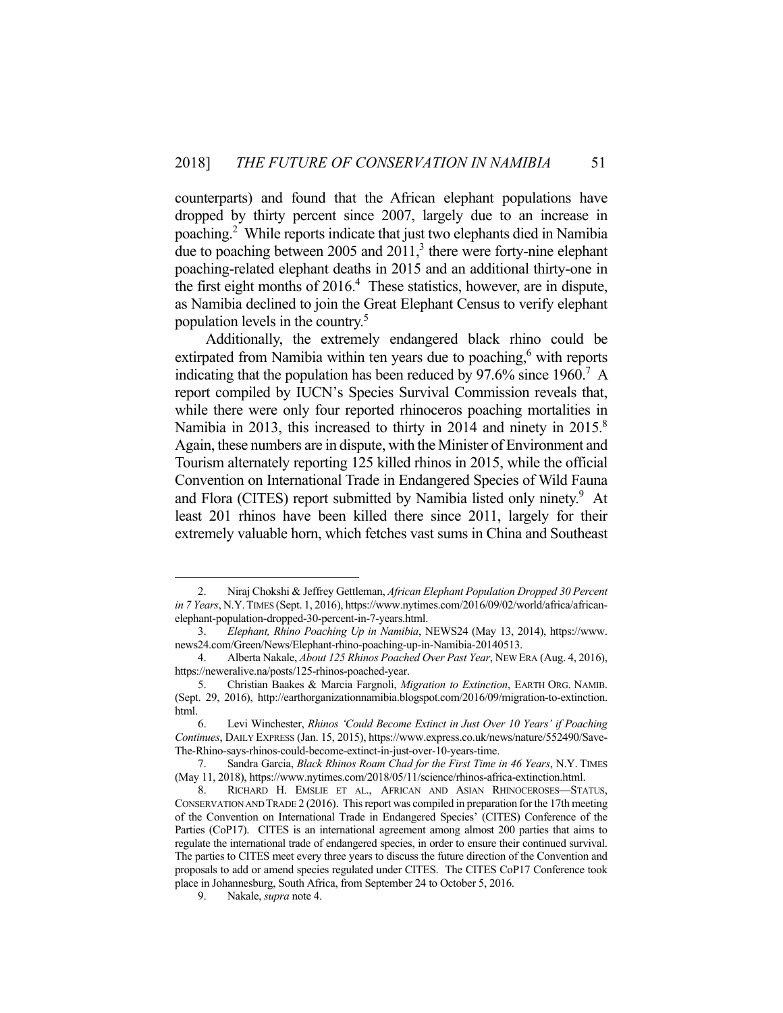counterparts) and found that the African elephant populations have dropped by thirty percent since 2007, largely due to an increase in poaching.2 While reports indicate that just two elephants died in Namibia due to poaching between  $2005$  and  $2011$ ,<sup>3</sup> there were forty-nine elephant poaching-related elephant deaths in 2015 and an additional thirty-one in the first eight months of  $2016<sup>4</sup>$ . These statistics, however, are in dispute, as Namibia declined to join the Great Elephant Census to verify elephant population levels in the country.<sup>5</sup>

 Additionally, the extremely endangered black rhino could be extirpated from Namibia within ten years due to poaching,<sup>6</sup> with reports indicating that the population has been reduced by 97.6% since  $1960$ .<sup>7</sup> A report compiled by IUCN's Species Survival Commission reveals that, while there were only four reported rhinoceros poaching mortalities in Namibia in 2013, this increased to thirty in 2014 and ninety in 2015.<sup>8</sup> Again, these numbers are in dispute, with the Minister of Environment and Tourism alternately reporting 125 killed rhinos in 2015, while the official Convention on International Trade in Endangered Species of Wild Fauna and Flora (CITES) report submitted by Namibia listed only ninety.<sup>9</sup> At least 201 rhinos have been killed there since 2011, largely for their extremely valuable horn, which fetches vast sums in China and Southeast

 <sup>2.</sup> Niraj Chokshi & Jeffrey Gettleman, *African Elephant Population Dropped 30 Percent in 7 Years*, N.Y.TIMES (Sept. 1, 2016), https://www.nytimes.com/2016/09/02/world/africa/africanelephant-population-dropped-30-percent-in-7-years.html.

 <sup>3.</sup> *Elephant, Rhino Poaching Up in Namibia*, NEWS24 (May 13, 2014), https://www. news24.com/Green/News/Elephant-rhino-poaching-up-in-Namibia-20140513.

 <sup>4.</sup> Alberta Nakale, *About 125 Rhinos Poached Over Past Year*, NEW ERA (Aug. 4, 2016), https://neweralive.na/posts/125-rhinos-poached-year.

 <sup>5.</sup> Christian Baakes & Marcia Fargnoli, *Migration to Extinction*, EARTH ORG. NAMIB. (Sept. 29, 2016), http://earthorganizationnamibia.blogspot.com/2016/09/migration-to-extinction. html.

 <sup>6.</sup> Levi Winchester, *Rhinos 'Could Become Extinct in Just Over 10 Years' if Poaching Continues*, DAILY EXPRESS (Jan. 15, 2015), https://www.express.co.uk/news/nature/552490/Save-The-Rhino-says-rhinos-could-become-extinct-in-just-over-10-years-time.

 <sup>7.</sup> Sandra Garcia, *Black Rhinos Roam Chad for the First Time in 46 Years*, N.Y. TIMES (May 11, 2018), https://www.nytimes.com/2018/05/11/science/rhinos-africa-extinction.html.

 <sup>8.</sup> RICHARD H. EMSLIE ET AL., AFRICAN AND ASIAN RHINOCEROSES—STATUS, CONSERVATION AND TRADE 2 (2016). This report was compiled in preparation for the 17th meeting of the Convention on International Trade in Endangered Species' (CITES) Conference of the Parties (CoP17). CITES is an international agreement among almost 200 parties that aims to regulate the international trade of endangered species, in order to ensure their continued survival. The parties to CITES meet every three years to discuss the future direction of the Convention and proposals to add or amend species regulated under CITES. The CITES CoP17 Conference took place in Johannesburg, South Africa, from September 24 to October 5, 2016.

 <sup>9.</sup> Nakale, *supra* note 4.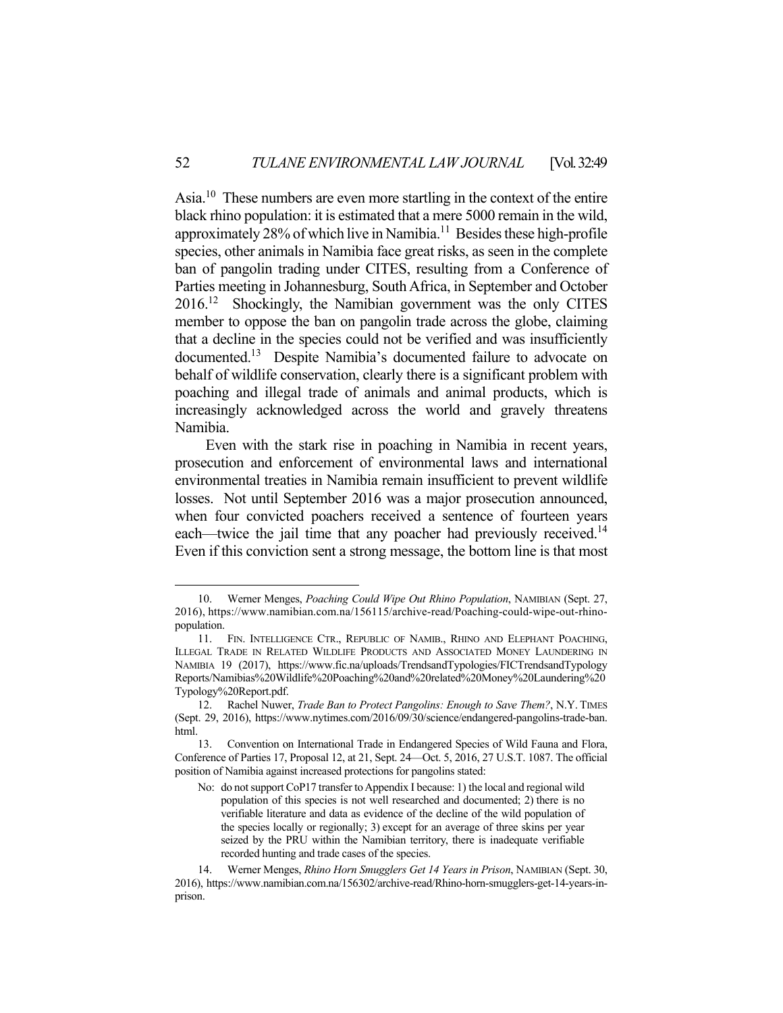Asia.10 These numbers are even more startling in the context of the entire black rhino population: it is estimated that a mere 5000 remain in the wild, approximately 28% of which live in Namibia.11 Besides these high-profile species, other animals in Namibia face great risks, as seen in the complete ban of pangolin trading under CITES, resulting from a Conference of Parties meeting in Johannesburg, South Africa, in September and October 2016.12 Shockingly, the Namibian government was the only CITES member to oppose the ban on pangolin trade across the globe, claiming that a decline in the species could not be verified and was insufficiently documented.13 Despite Namibia's documented failure to advocate on behalf of wildlife conservation, clearly there is a significant problem with poaching and illegal trade of animals and animal products, which is increasingly acknowledged across the world and gravely threatens Namibia.

 Even with the stark rise in poaching in Namibia in recent years, prosecution and enforcement of environmental laws and international environmental treaties in Namibia remain insufficient to prevent wildlife losses. Not until September 2016 was a major prosecution announced, when four convicted poachers received a sentence of fourteen years each—twice the jail time that any poacher had previously received.<sup>14</sup> Even if this conviction sent a strong message, the bottom line is that most

 <sup>10.</sup> Werner Menges, *Poaching Could Wipe Out Rhino Population*, NAMIBIAN (Sept. 27, 2016), https://www.namibian.com.na/156115/archive-read/Poaching-could-wipe-out-rhinopopulation.

 <sup>11.</sup> FIN. INTELLIGENCE CTR., REPUBLIC OF NAMIB., RHINO AND ELEPHANT POACHING, ILLEGAL TRADE IN RELATED WILDLIFE PRODUCTS AND ASSOCIATED MONEY LAUNDERING IN NAMIBIA 19 (2017), https://www.fic.na/uploads/TrendsandTypologies/FICTrendsandTypology Reports/Namibias%20Wildlife%20Poaching%20and%20related%20Money%20Laundering%20 Typology%20Report.pdf.

 <sup>12.</sup> Rachel Nuwer, *Trade Ban to Protect Pangolins: Enough to Save Them?*, N.Y. TIMES (Sept. 29, 2016), https://www.nytimes.com/2016/09/30/science/endangered-pangolins-trade-ban. html.

 <sup>13.</sup> Convention on International Trade in Endangered Species of Wild Fauna and Flora, Conference of Parties 17, Proposal 12, at 21, Sept. 24—Oct. 5, 2016, 27 U.S.T. 1087. The official position of Namibia against increased protections for pangolins stated:

No: do not support CoP17 transfer to Appendix I because: 1) the local and regional wild population of this species is not well researched and documented; 2) there is no verifiable literature and data as evidence of the decline of the wild population of the species locally or regionally; 3) except for an average of three skins per year seized by the PRU within the Namibian territory, there is inadequate verifiable recorded hunting and trade cases of the species.

 <sup>14.</sup> Werner Menges, *Rhino Horn Smugglers Get 14 Years in Prison*, NAMIBIAN (Sept. 30, 2016), https://www.namibian.com.na/156302/archive-read/Rhino-horn-smugglers-get-14-years-inprison.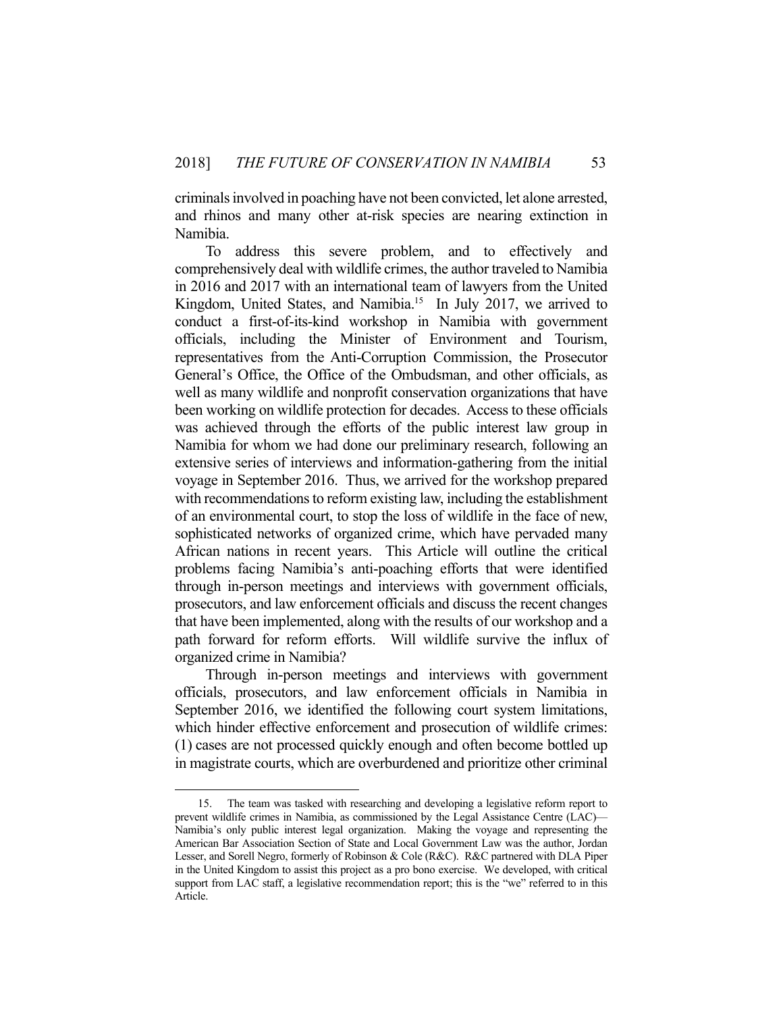criminals involved in poaching have not been convicted, let alone arrested, and rhinos and many other at-risk species are nearing extinction in Namibia.

 To address this severe problem, and to effectively and comprehensively deal with wildlife crimes, the author traveled to Namibia in 2016 and 2017 with an international team of lawyers from the United Kingdom, United States, and Namibia.<sup>15</sup> In July 2017, we arrived to conduct a first-of-its-kind workshop in Namibia with government officials, including the Minister of Environment and Tourism, representatives from the Anti-Corruption Commission, the Prosecutor General's Office, the Office of the Ombudsman, and other officials, as well as many wildlife and nonprofit conservation organizations that have been working on wildlife protection for decades. Access to these officials was achieved through the efforts of the public interest law group in Namibia for whom we had done our preliminary research, following an extensive series of interviews and information-gathering from the initial voyage in September 2016. Thus, we arrived for the workshop prepared with recommendations to reform existing law, including the establishment of an environmental court, to stop the loss of wildlife in the face of new, sophisticated networks of organized crime, which have pervaded many African nations in recent years. This Article will outline the critical problems facing Namibia's anti-poaching efforts that were identified through in-person meetings and interviews with government officials, prosecutors, and law enforcement officials and discuss the recent changes that have been implemented, along with the results of our workshop and a path forward for reform efforts. Will wildlife survive the influx of organized crime in Namibia?

 Through in-person meetings and interviews with government officials, prosecutors, and law enforcement officials in Namibia in September 2016, we identified the following court system limitations, which hinder effective enforcement and prosecution of wildlife crimes: (1) cases are not processed quickly enough and often become bottled up in magistrate courts, which are overburdened and prioritize other criminal

 <sup>15.</sup> The team was tasked with researching and developing a legislative reform report to prevent wildlife crimes in Namibia, as commissioned by the Legal Assistance Centre (LAC)— Namibia's only public interest legal organization. Making the voyage and representing the American Bar Association Section of State and Local Government Law was the author, Jordan Lesser, and Sorell Negro, formerly of Robinson & Cole (R&C). R&C partnered with DLA Piper in the United Kingdom to assist this project as a pro bono exercise. We developed, with critical support from LAC staff, a legislative recommendation report; this is the "we" referred to in this Article.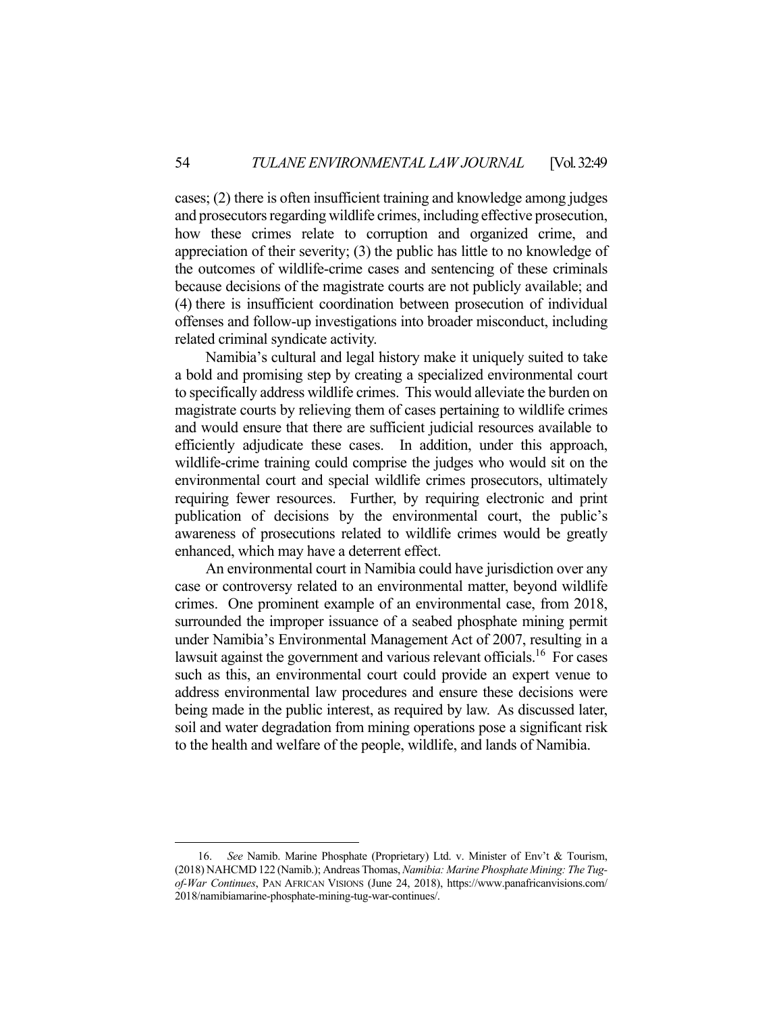cases; (2) there is often insufficient training and knowledge among judges and prosecutors regarding wildlife crimes, including effective prosecution, how these crimes relate to corruption and organized crime, and appreciation of their severity; (3) the public has little to no knowledge of the outcomes of wildlife-crime cases and sentencing of these criminals because decisions of the magistrate courts are not publicly available; and (4) there is insufficient coordination between prosecution of individual offenses and follow-up investigations into broader misconduct, including related criminal syndicate activity.

 Namibia's cultural and legal history make it uniquely suited to take a bold and promising step by creating a specialized environmental court to specifically address wildlife crimes. This would alleviate the burden on magistrate courts by relieving them of cases pertaining to wildlife crimes and would ensure that there are sufficient judicial resources available to efficiently adjudicate these cases. In addition, under this approach, wildlife-crime training could comprise the judges who would sit on the environmental court and special wildlife crimes prosecutors, ultimately requiring fewer resources. Further, by requiring electronic and print publication of decisions by the environmental court, the public's awareness of prosecutions related to wildlife crimes would be greatly enhanced, which may have a deterrent effect.

 An environmental court in Namibia could have jurisdiction over any case or controversy related to an environmental matter, beyond wildlife crimes. One prominent example of an environmental case, from 2018, surrounded the improper issuance of a seabed phosphate mining permit under Namibia's Environmental Management Act of 2007, resulting in a lawsuit against the government and various relevant officials.<sup>16</sup> For cases such as this, an environmental court could provide an expert venue to address environmental law procedures and ensure these decisions were being made in the public interest, as required by law. As discussed later, soil and water degradation from mining operations pose a significant risk to the health and welfare of the people, wildlife, and lands of Namibia.

 <sup>16.</sup> *See* Namib. Marine Phosphate (Proprietary) Ltd. v. Minister of Env't & Tourism, (2018) NAHCMD 122 (Namib.); Andreas Thomas, *Namibia: Marine Phosphate Mining: The Tugof-War Continues*, PAN AFRICAN VISIONS (June 24, 2018), https://www.panafricanvisions.com/ 2018/namibiamarine-phosphate-mining-tug-war-continues/.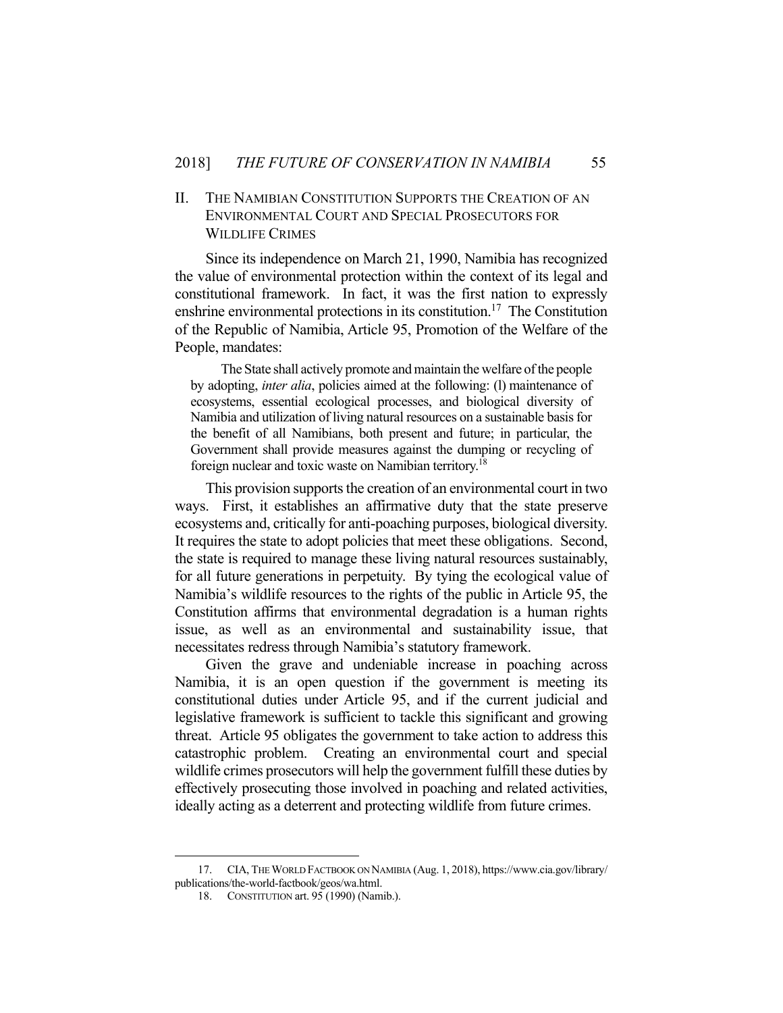## II. THE NAMIBIAN CONSTITUTION SUPPORTS THE CREATION OF AN ENVIRONMENTAL COURT AND SPECIAL PROSECUTORS FOR WILDLIFE CRIMES

Since its independence on March 21, 1990, Namibia has recognized the value of environmental protection within the context of its legal and constitutional framework. In fact, it was the first nation to expressly enshrine environmental protections in its constitution.<sup>17</sup> The Constitution of the Republic of Namibia, Article 95, Promotion of the Welfare of the People, mandates:

 The State shall actively promote and maintain the welfare of the people by adopting, *inter alia*, policies aimed at the following: (l) maintenance of ecosystems, essential ecological processes, and biological diversity of Namibia and utilization of living natural resources on a sustainable basis for the benefit of all Namibians, both present and future; in particular, the Government shall provide measures against the dumping or recycling of foreign nuclear and toxic waste on Namibian territory.<sup>18</sup>

 This provision supports the creation of an environmental court in two ways. First, it establishes an affirmative duty that the state preserve ecosystems and, critically for anti-poaching purposes, biological diversity. It requires the state to adopt policies that meet these obligations. Second, the state is required to manage these living natural resources sustainably, for all future generations in perpetuity. By tying the ecological value of Namibia's wildlife resources to the rights of the public in Article 95, the Constitution affirms that environmental degradation is a human rights issue, as well as an environmental and sustainability issue, that necessitates redress through Namibia's statutory framework.

 Given the grave and undeniable increase in poaching across Namibia, it is an open question if the government is meeting its constitutional duties under Article 95, and if the current judicial and legislative framework is sufficient to tackle this significant and growing threat. Article 95 obligates the government to take action to address this catastrophic problem. Creating an environmental court and special wildlife crimes prosecutors will help the government fulfill these duties by effectively prosecuting those involved in poaching and related activities, ideally acting as a deterrent and protecting wildlife from future crimes.

 <sup>17.</sup> CIA, THE WORLD FACTBOOK ON NAMIBIA (Aug. 1, 2018), https://www.cia.gov/library/ publications/the-world-factbook/geos/wa.html.

 <sup>18.</sup> CONSTITUTION art. 95 (1990) (Namib.).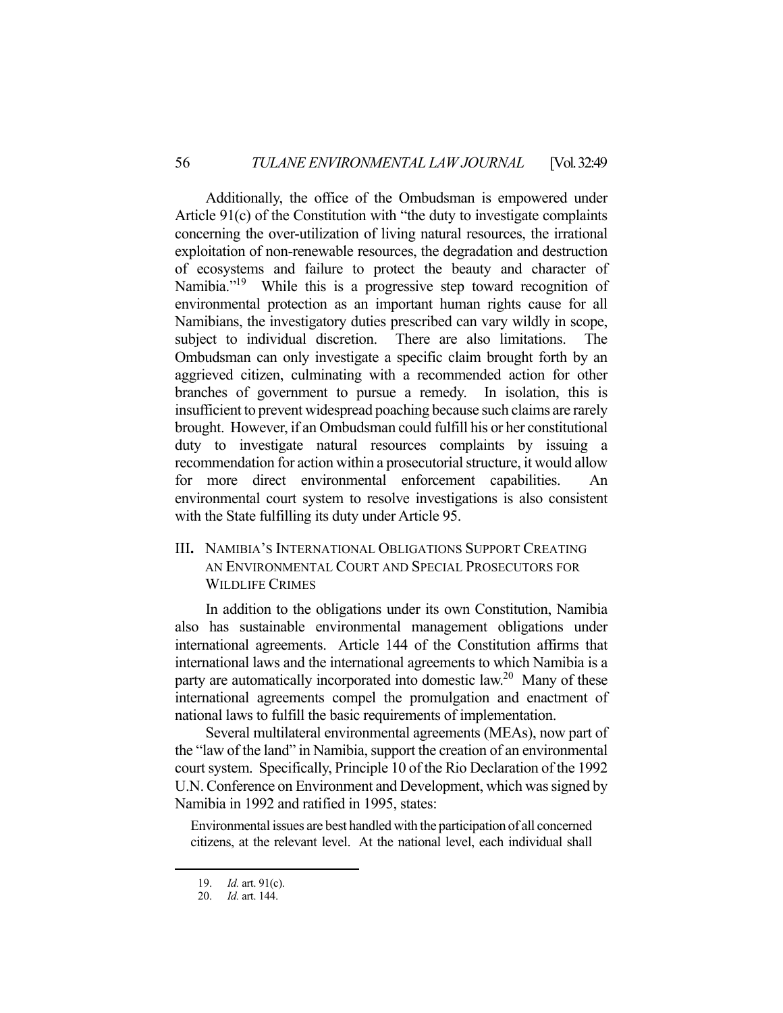Additionally, the office of the Ombudsman is empowered under Article 91(c) of the Constitution with "the duty to investigate complaints concerning the over-utilization of living natural resources, the irrational exploitation of non-renewable resources, the degradation and destruction of ecosystems and failure to protect the beauty and character of Namibia."<sup>19</sup> While this is a progressive step toward recognition of environmental protection as an important human rights cause for all Namibians, the investigatory duties prescribed can vary wildly in scope, subject to individual discretion. There are also limitations. The Ombudsman can only investigate a specific claim brought forth by an aggrieved citizen, culminating with a recommended action for other branches of government to pursue a remedy. In isolation, this is insufficient to prevent widespread poaching because such claims are rarely brought. However, if an Ombudsman could fulfill his or her constitutional duty to investigate natural resources complaints by issuing a recommendation for action within a prosecutorial structure, it would allow for more direct environmental enforcement capabilities. An environmental court system to resolve investigations is also consistent with the State fulfilling its duty under Article 95.

III**.** NAMIBIA'S INTERNATIONAL OBLIGATIONS SUPPORT CREATING AN ENVIRONMENTAL COURT AND SPECIAL PROSECUTORS FOR WILDLIFE CRIMES

In addition to the obligations under its own Constitution, Namibia also has sustainable environmental management obligations under international agreements. Article 144 of the Constitution affirms that international laws and the international agreements to which Namibia is a party are automatically incorporated into domestic  $law<sup>20</sup>$  Many of these international agreements compel the promulgation and enactment of national laws to fulfill the basic requirements of implementation.

 Several multilateral environmental agreements (MEAs), now part of the "law of the land" in Namibia, support the creation of an environmental court system. Specifically, Principle 10 of the Rio Declaration of the 1992 U.N. Conference on Environment and Development, which was signed by Namibia in 1992 and ratified in 1995, states:

Environmental issues are best handled with the participation of all concerned citizens, at the relevant level. At the national level, each individual shall

 <sup>19.</sup> *Id.* art. 91(c).

 <sup>20.</sup> *Id.* art. 144.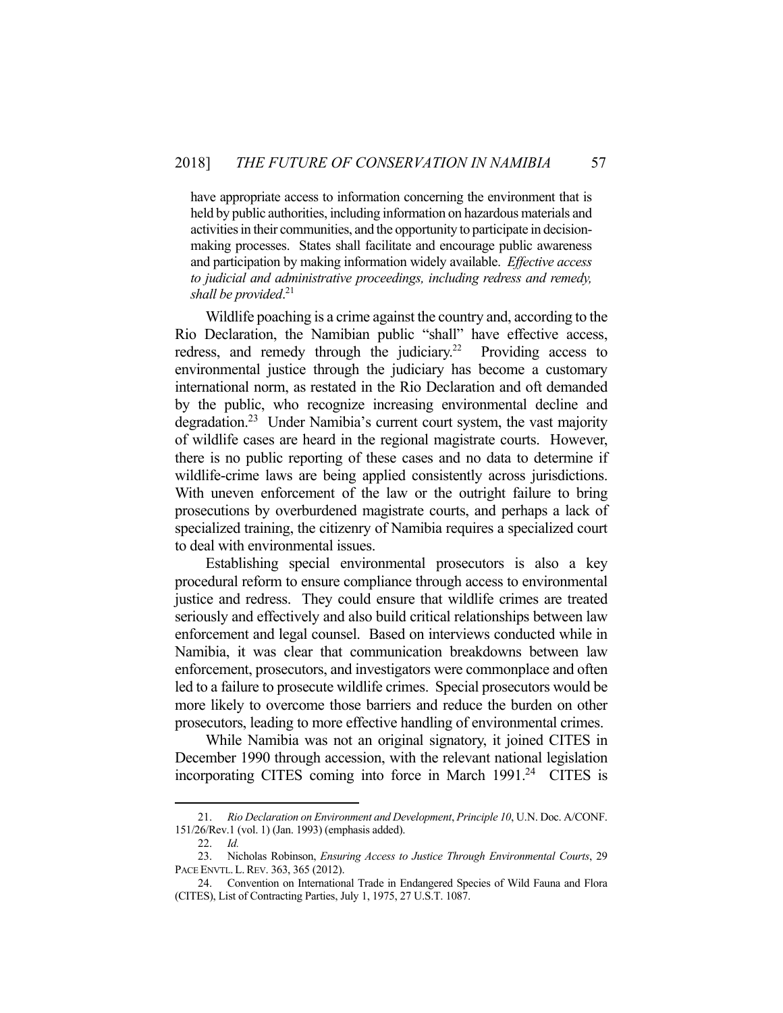have appropriate access to information concerning the environment that is held by public authorities, including information on hazardous materials and activities in their communities, and the opportunity to participate in decisionmaking processes. States shall facilitate and encourage public awareness and participation by making information widely available. *Effective access to judicial and administrative proceedings, including redress and remedy, shall be provided*. 21

 Wildlife poaching is a crime against the country and, according to the Rio Declaration, the Namibian public "shall" have effective access, redress, and remedy through the judiciary.<sup>22</sup> Providing access to environmental justice through the judiciary has become a customary international norm, as restated in the Rio Declaration and oft demanded by the public, who recognize increasing environmental decline and degradation.<sup>23</sup> Under Namibia's current court system, the vast majority of wildlife cases are heard in the regional magistrate courts. However, there is no public reporting of these cases and no data to determine if wildlife-crime laws are being applied consistently across jurisdictions. With uneven enforcement of the law or the outright failure to bring prosecutions by overburdened magistrate courts, and perhaps a lack of specialized training, the citizenry of Namibia requires a specialized court to deal with environmental issues.

 Establishing special environmental prosecutors is also a key procedural reform to ensure compliance through access to environmental justice and redress. They could ensure that wildlife crimes are treated seriously and effectively and also build critical relationships between law enforcement and legal counsel. Based on interviews conducted while in Namibia, it was clear that communication breakdowns between law enforcement, prosecutors, and investigators were commonplace and often led to a failure to prosecute wildlife crimes. Special prosecutors would be more likely to overcome those barriers and reduce the burden on other prosecutors, leading to more effective handling of environmental crimes.

 While Namibia was not an original signatory, it joined CITES in December 1990 through accession, with the relevant national legislation incorporating CITES coming into force in March  $1991<sup>24</sup>$  CITES is

 <sup>21.</sup> *Rio Declaration on Environment and Development*, *Principle 10*, U.N. Doc. A/CONF. 151/26/Rev.1 (vol. 1) (Jan. 1993) (emphasis added).

 <sup>22.</sup> *Id.* 

 <sup>23.</sup> Nicholas Robinson, *Ensuring Access to Justice Through Environmental Courts*, 29 PACE ENVTL. L. REV. 363, 365 (2012).

 <sup>24.</sup> Convention on International Trade in Endangered Species of Wild Fauna and Flora (CITES), List of Contracting Parties, July 1, 1975, 27 U.S.T. 1087.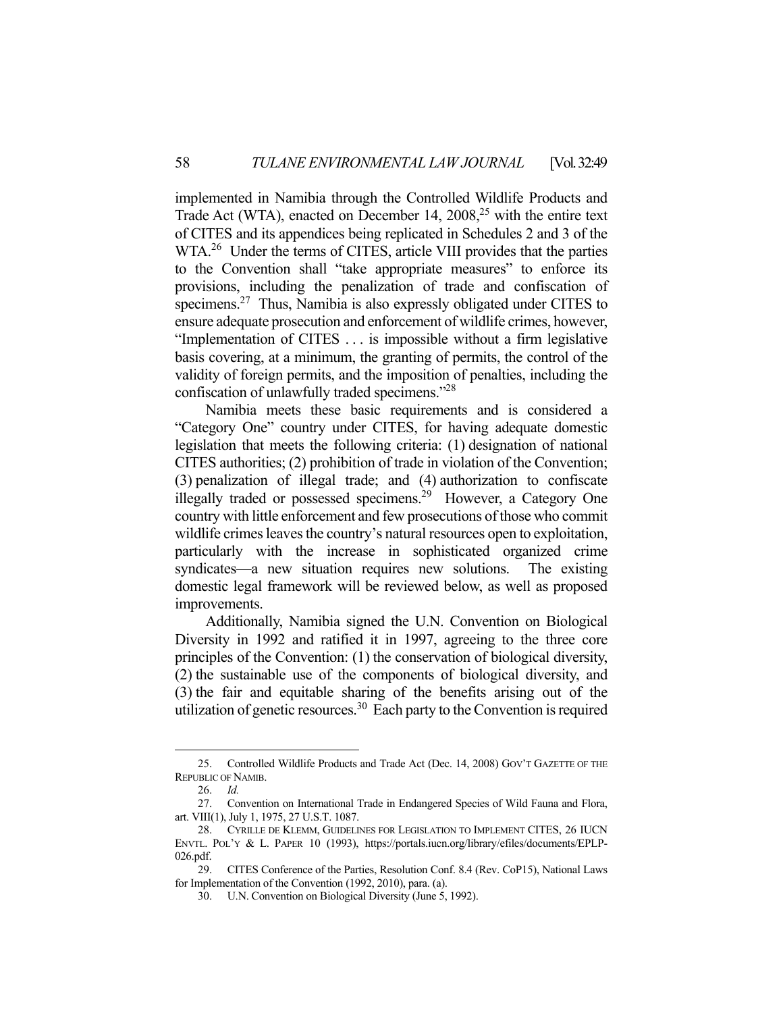implemented in Namibia through the Controlled Wildlife Products and Trade Act (WTA), enacted on December 14,  $2008$ <sup>25</sup> with the entire text of CITES and its appendices being replicated in Schedules 2 and 3 of the WTA.<sup>26</sup> Under the terms of CITES, article VIII provides that the parties to the Convention shall "take appropriate measures" to enforce its provisions, including the penalization of trade and confiscation of specimens.<sup>27</sup> Thus, Namibia is also expressly obligated under CITES to ensure adequate prosecution and enforcement of wildlife crimes, however, "Implementation of CITES . . . is impossible without a firm legislative basis covering, at a minimum, the granting of permits, the control of the validity of foreign permits, and the imposition of penalties, including the confiscation of unlawfully traded specimens."28

 Namibia meets these basic requirements and is considered a "Category One" country under CITES, for having adequate domestic legislation that meets the following criteria: (1) designation of national CITES authorities; (2) prohibition of trade in violation of the Convention; (3) penalization of illegal trade; and (4) authorization to confiscate illegally traded or possessed specimens.<sup>29</sup> However, a Category One country with little enforcement and few prosecutions of those who commit wildlife crimes leaves the country's natural resources open to exploitation, particularly with the increase in sophisticated organized crime syndicates—a new situation requires new solutions. The existing domestic legal framework will be reviewed below, as well as proposed improvements.

 Additionally, Namibia signed the U.N. Convention on Biological Diversity in 1992 and ratified it in 1997, agreeing to the three core principles of the Convention: (1) the conservation of biological diversity, (2) the sustainable use of the components of biological diversity, and (3) the fair and equitable sharing of the benefits arising out of the utilization of genetic resources.<sup>30</sup> Each party to the Convention is required

 <sup>25.</sup> Controlled Wildlife Products and Trade Act (Dec. 14, 2008) GOV'T GAZETTE OF THE REPUBLIC OF NAMIB.

 <sup>26.</sup> *Id.*

 <sup>27.</sup> Convention on International Trade in Endangered Species of Wild Fauna and Flora, art. VIII(1), July 1, 1975, 27 U.S.T. 1087.

 <sup>28.</sup> CYRILLE DE KLEMM, GUIDELINES FOR LEGISLATION TO IMPLEMENT CITES, 26 IUCN ENVTL. POL'Y & L. PAPER 10 (1993), https://portals.iucn.org/library/efiles/documents/EPLP-026.pdf.

 <sup>29.</sup> CITES Conference of the Parties, Resolution Conf. 8.4 (Rev. CoP15), National Laws for Implementation of the Convention (1992, 2010), para. (a).

 <sup>30.</sup> U.N. Convention on Biological Diversity (June 5, 1992).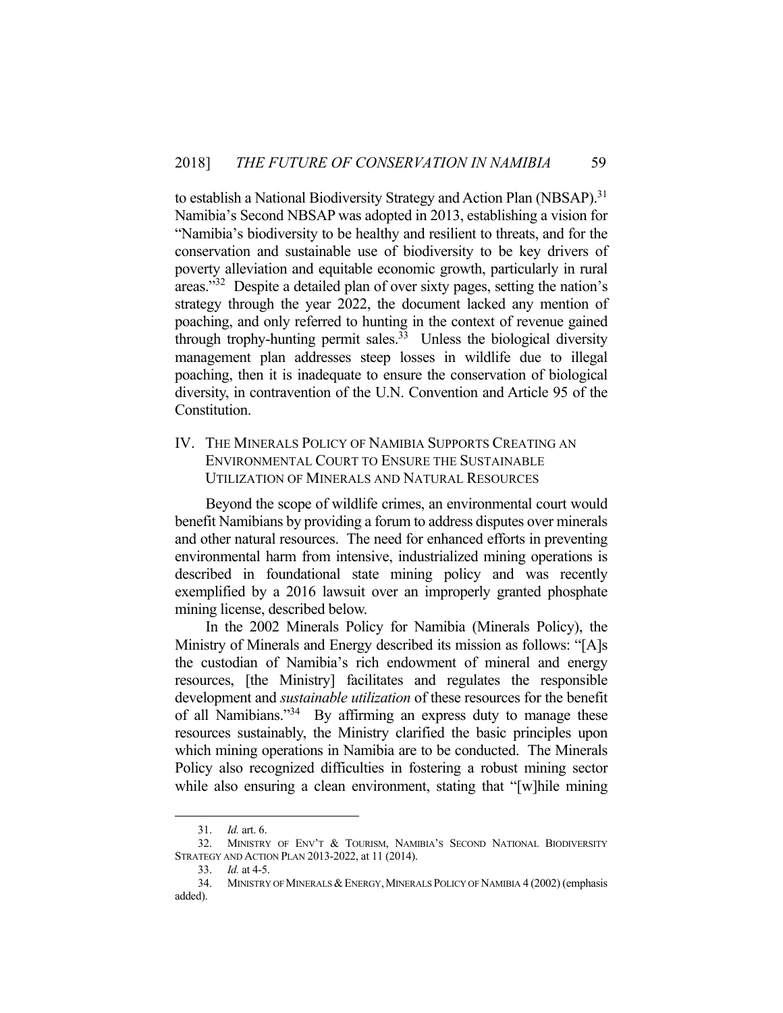to establish a National Biodiversity Strategy and Action Plan (NBSAP).<sup>31</sup> Namibia's Second NBSAP was adopted in 2013, establishing a vision for "Namibia's biodiversity to be healthy and resilient to threats, and for the conservation and sustainable use of biodiversity to be key drivers of poverty alleviation and equitable economic growth, particularly in rural areas."32 Despite a detailed plan of over sixty pages, setting the nation's strategy through the year 2022, the document lacked any mention of poaching, and only referred to hunting in the context of revenue gained through trophy-hunting permit sales.<sup>33</sup> Unless the biological diversity management plan addresses steep losses in wildlife due to illegal poaching, then it is inadequate to ensure the conservation of biological diversity, in contravention of the U.N. Convention and Article 95 of the Constitution.

## IV. THE MINERALS POLICY OF NAMIBIA SUPPORTS CREATING AN ENVIRONMENTAL COURT TO ENSURE THE SUSTAINABLE UTILIZATION OF MINERALS AND NATURAL RESOURCES

 Beyond the scope of wildlife crimes, an environmental court would benefit Namibians by providing a forum to address disputes over minerals and other natural resources. The need for enhanced efforts in preventing environmental harm from intensive, industrialized mining operations is described in foundational state mining policy and was recently exemplified by a 2016 lawsuit over an improperly granted phosphate mining license, described below.

 In the 2002 Minerals Policy for Namibia (Minerals Policy), the Ministry of Minerals and Energy described its mission as follows: "[A]s the custodian of Namibia's rich endowment of mineral and energy resources, [the Ministry] facilitates and regulates the responsible development and *sustainable utilization* of these resources for the benefit of all Namibians."34 By affirming an express duty to manage these resources sustainably, the Ministry clarified the basic principles upon which mining operations in Namibia are to be conducted. The Minerals Policy also recognized difficulties in fostering a robust mining sector while also ensuring a clean environment, stating that "[w]hile mining

 <sup>31.</sup> *Id.* art. 6.

 <sup>32.</sup> MINISTRY OF ENV'T & TOURISM, NAMIBIA'S SECOND NATIONAL BIODIVERSITY STRATEGY AND ACTION PLAN 2013-2022, at 11 (2014).

 <sup>33.</sup> *Id.* at 4-5.

 <sup>34.</sup> MINISTRY OF MINERALS &ENERGY,MINERALS POLICY OF NAMIBIA 4 (2002) (emphasis added).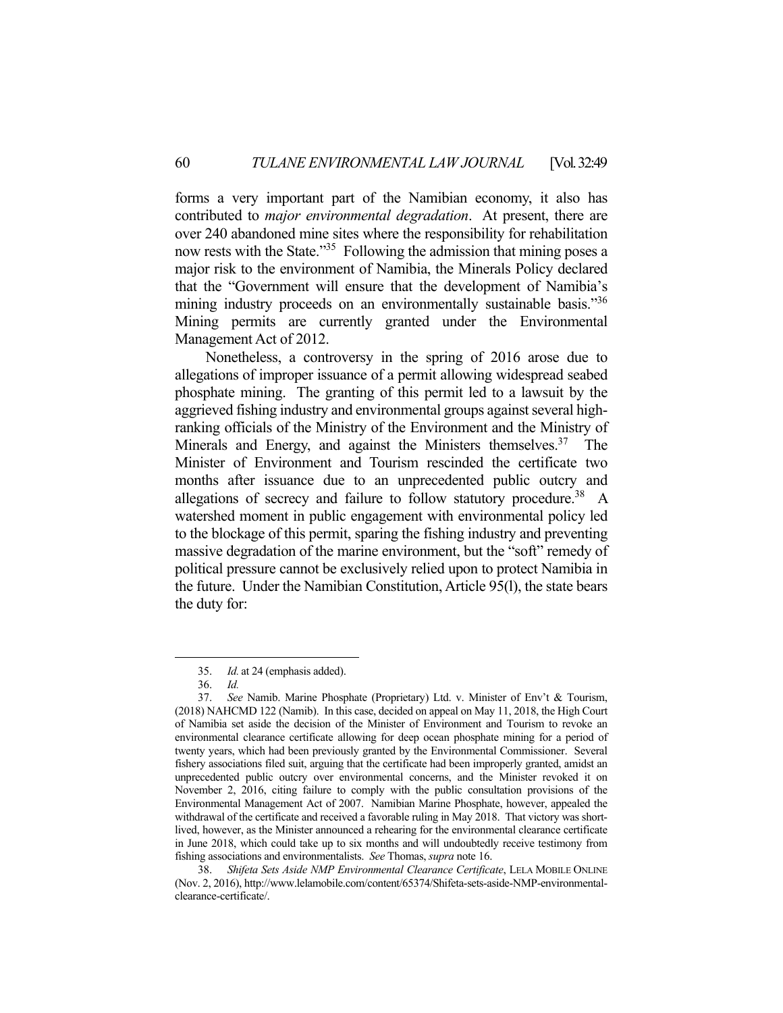forms a very important part of the Namibian economy, it also has contributed to *major environmental degradation*. At present, there are over 240 abandoned mine sites where the responsibility for rehabilitation now rests with the State."35 Following the admission that mining poses a major risk to the environment of Namibia, the Minerals Policy declared that the "Government will ensure that the development of Namibia's mining industry proceeds on an environmentally sustainable basis."36 Mining permits are currently granted under the Environmental Management Act of 2012.

 Nonetheless, a controversy in the spring of 2016 arose due to allegations of improper issuance of a permit allowing widespread seabed phosphate mining. The granting of this permit led to a lawsuit by the aggrieved fishing industry and environmental groups against several highranking officials of the Ministry of the Environment and the Ministry of Minerals and Energy, and against the Ministers themselves.<sup>37</sup> The Minister of Environment and Tourism rescinded the certificate two months after issuance due to an unprecedented public outcry and allegations of secrecy and failure to follow statutory procedure.<sup>38</sup> A watershed moment in public engagement with environmental policy led to the blockage of this permit, sparing the fishing industry and preventing massive degradation of the marine environment, but the "soft" remedy of political pressure cannot be exclusively relied upon to protect Namibia in the future. Under the Namibian Constitution, Article 95(l), the state bears the duty for:

<u>.</u>

 38. *Shifeta Sets Aside NMP Environmental Clearance Certificate*, LELA MOBILE ONLINE (Nov. 2, 2016), http://www.lelamobile.com/content/65374/Shifeta-sets-aside-NMP-environmentalclearance-certificate/.

 <sup>35.</sup> *Id.* at 24 (emphasis added).

 <sup>36.</sup> *Id.* 

 <sup>37.</sup> *See* Namib. Marine Phosphate (Proprietary) Ltd. v. Minister of Env't & Tourism, (2018) NAHCMD 122 (Namib). In this case, decided on appeal on May 11, 2018, the High Court of Namibia set aside the decision of the Minister of Environment and Tourism to revoke an environmental clearance certificate allowing for deep ocean phosphate mining for a period of twenty years, which had been previously granted by the Environmental Commissioner. Several fishery associations filed suit, arguing that the certificate had been improperly granted, amidst an unprecedented public outcry over environmental concerns, and the Minister revoked it on November 2, 2016, citing failure to comply with the public consultation provisions of the Environmental Management Act of 2007. Namibian Marine Phosphate, however, appealed the withdrawal of the certificate and received a favorable ruling in May 2018. That victory was shortlived, however, as the Minister announced a rehearing for the environmental clearance certificate in June 2018, which could take up to six months and will undoubtedly receive testimony from fishing associations and environmentalists. *See* Thomas, *supra* note 16.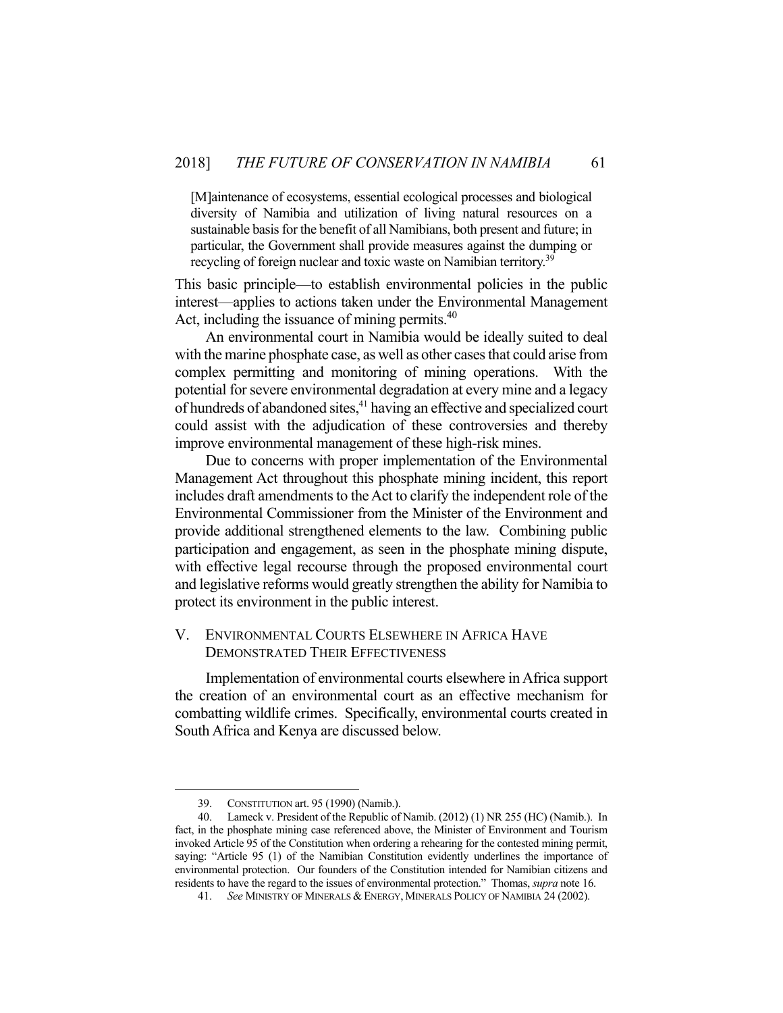[M]aintenance of ecosystems, essential ecological processes and biological diversity of Namibia and utilization of living natural resources on a sustainable basis for the benefit of all Namibians, both present and future; in particular, the Government shall provide measures against the dumping or recycling of foreign nuclear and toxic waste on Namibian territory.<sup>39</sup>

This basic principle—to establish environmental policies in the public interest—applies to actions taken under the Environmental Management Act, including the issuance of mining permits.<sup>40</sup>

 An environmental court in Namibia would be ideally suited to deal with the marine phosphate case, as well as other cases that could arise from complex permitting and monitoring of mining operations. With the potential for severe environmental degradation at every mine and a legacy of hundreds of abandoned sites,<sup>41</sup> having an effective and specialized court could assist with the adjudication of these controversies and thereby improve environmental management of these high-risk mines.

 Due to concerns with proper implementation of the Environmental Management Act throughout this phosphate mining incident, this report includes draft amendments to the Act to clarify the independent role of the Environmental Commissioner from the Minister of the Environment and provide additional strengthened elements to the law. Combining public participation and engagement, as seen in the phosphate mining dispute, with effective legal recourse through the proposed environmental court and legislative reforms would greatly strengthen the ability for Namibia to protect its environment in the public interest.

#### V. ENVIRONMENTAL COURTS ELSEWHERE IN AFRICA HAVE DEMONSTRATED THEIR EFFECTIVENESS

 Implementation of environmental courts elsewhere in Africa support the creation of an environmental court as an effective mechanism for combatting wildlife crimes. Specifically, environmental courts created in South Africa and Kenya are discussed below.

 <sup>39.</sup> CONSTITUTION art. 95 (1990) (Namib.).

 <sup>40.</sup> Lameck v. President of the Republic of Namib. (2012) (1) NR 255 (HC) (Namib.). In fact, in the phosphate mining case referenced above, the Minister of Environment and Tourism invoked Article 95 of the Constitution when ordering a rehearing for the contested mining permit, saying: "Article 95 (1) of the Namibian Constitution evidently underlines the importance of environmental protection. Our founders of the Constitution intended for Namibian citizens and residents to have the regard to the issues of environmental protection." Thomas, *supra* note 16.

 <sup>41.</sup> *See* MINISTRY OF MINERALS & ENERGY, MINERALS POLICY OF NAMIBIA 24 (2002).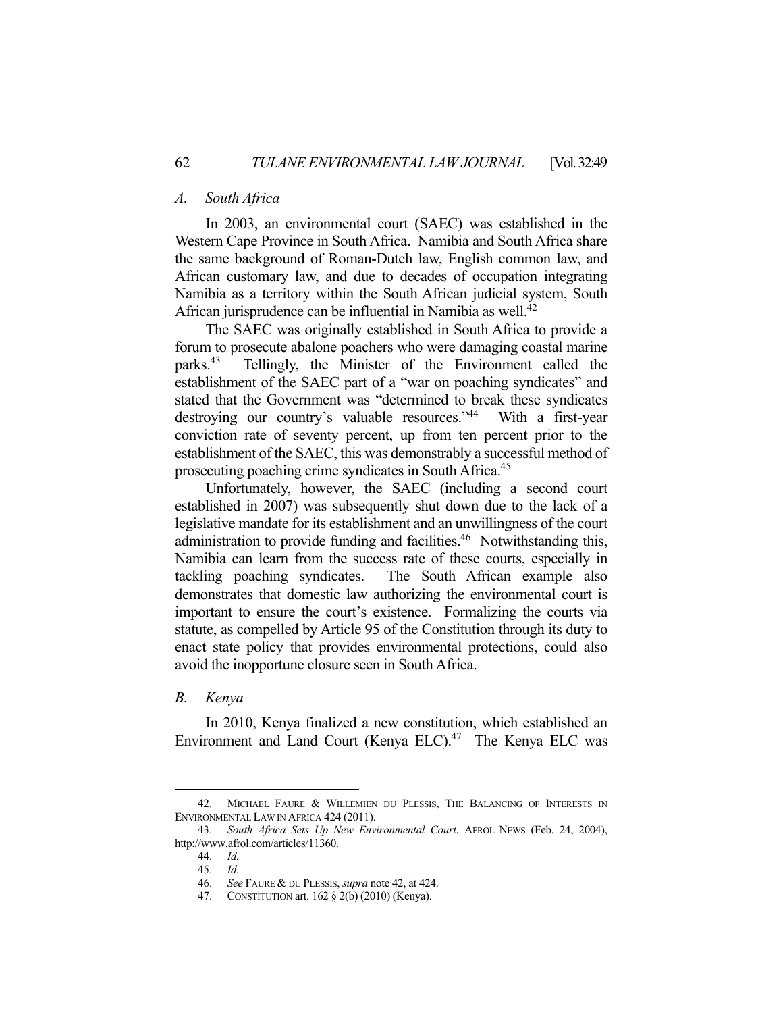#### *A. South Africa*

 In 2003, an environmental court (SAEC) was established in the Western Cape Province in South Africa. Namibia and South Africa share the same background of Roman-Dutch law, English common law, and African customary law, and due to decades of occupation integrating Namibia as a territory within the South African judicial system, South African jurisprudence can be influential in Namibia as well. $^{42}$ 

 The SAEC was originally established in South Africa to provide a forum to prosecute abalone poachers who were damaging coastal marine parks.<sup>43</sup> Tellingly, the Minister of the Environment called the establishment of the SAEC part of a "war on poaching syndicates" and stated that the Government was "determined to break these syndicates destroying our country's valuable resources."<sup>44</sup> With a first-year conviction rate of seventy percent, up from ten percent prior to the establishment of the SAEC, this was demonstrably a successful method of prosecuting poaching crime syndicates in South Africa.<sup>45</sup>

 Unfortunately, however, the SAEC (including a second court established in 2007) was subsequently shut down due to the lack of a legislative mandate for its establishment and an unwillingness of the court administration to provide funding and facilities.<sup>46</sup> Notwithstanding this, Namibia can learn from the success rate of these courts, especially in tackling poaching syndicates. The South African example also demonstrates that domestic law authorizing the environmental court is important to ensure the court's existence. Formalizing the courts via statute, as compelled by Article 95 of the Constitution through its duty to enact state policy that provides environmental protections, could also avoid the inopportune closure seen in South Africa.

#### *B. Kenya*

 In 2010, Kenya finalized a new constitution, which established an Environment and Land Court (Kenya ELC).<sup>47</sup> The Kenya ELC was

<sup>42.</sup> MICHAEL FAURE & WILLEMIEN DU PLESSIS, THE BALANCING OF INTERESTS IN ENVIRONMENTAL LAW IN AFRICA 424 (2011).

 <sup>43.</sup> *South Africa Sets Up New Environmental Court*, AFROL NEWS (Feb. 24, 2004), http://www.afrol.com/articles/11360.

 <sup>44.</sup> *Id.* 

 <sup>45.</sup> *Id.* 

 <sup>46.</sup> *See* FAURE & DU PLESSIS, *supra* note 42, at 424.

 <sup>47.</sup> CONSTITUTION art. 162 § 2(b) (2010) (Kenya).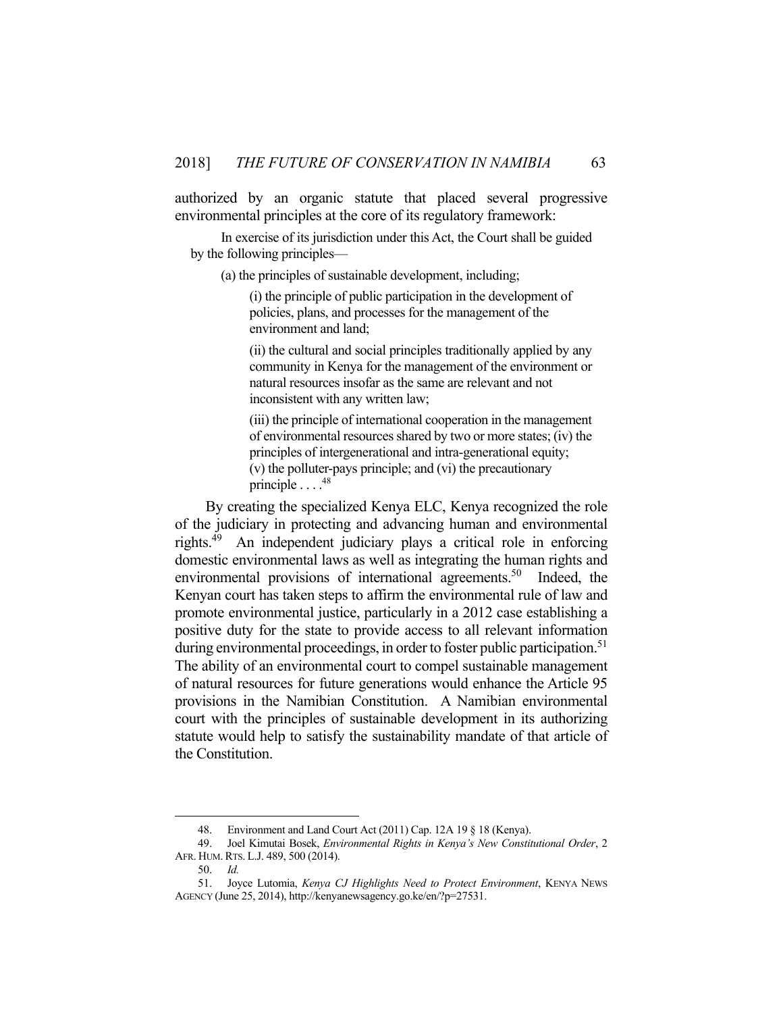authorized by an organic statute that placed several progressive environmental principles at the core of its regulatory framework:

 In exercise of its jurisdiction under this Act, the Court shall be guided by the following principles—

(a) the principles of sustainable development, including;

 (i) the principle of public participation in the development of policies, plans, and processes for the management of the environment and land;

 (ii) the cultural and social principles traditionally applied by any community in Kenya for the management of the environment or natural resources insofar as the same are relevant and not inconsistent with any written law;

 (iii) the principle of international cooperation in the management of environmental resources shared by two or more states; (iv) the principles of intergenerational and intra-generational equity; (v) the polluter-pays principle; and (vi) the precautionary principle  $\ldots$ .<sup>48</sup>

 By creating the specialized Kenya ELC, Kenya recognized the role of the judiciary in protecting and advancing human and environmental rights.49 An independent judiciary plays a critical role in enforcing domestic environmental laws as well as integrating the human rights and environmental provisions of international agreements.<sup>50</sup> Indeed, the Kenyan court has taken steps to affirm the environmental rule of law and promote environmental justice, particularly in a 2012 case establishing a positive duty for the state to provide access to all relevant information during environmental proceedings, in order to foster public participation.<sup>51</sup> The ability of an environmental court to compel sustainable management of natural resources for future generations would enhance the Article 95 provisions in the Namibian Constitution. A Namibian environmental court with the principles of sustainable development in its authorizing statute would help to satisfy the sustainability mandate of that article of the Constitution.

 <sup>48.</sup> Environment and Land Court Act (2011) Cap. 12A 19 § 18 (Kenya).

 <sup>49.</sup> Joel Kimutai Bosek, *Environmental Rights in Kenya's New Constitutional Order*, 2 AFR. HUM.RTS. L.J. 489, 500 (2014).

 <sup>50.</sup> *Id.* 

 <sup>51.</sup> Joyce Lutomia, *Kenya CJ Highlights Need to Protect Environment*, KENYA NEWS AGENCY (June 25, 2014), http://kenyanewsagency.go.ke/en/?p=27531.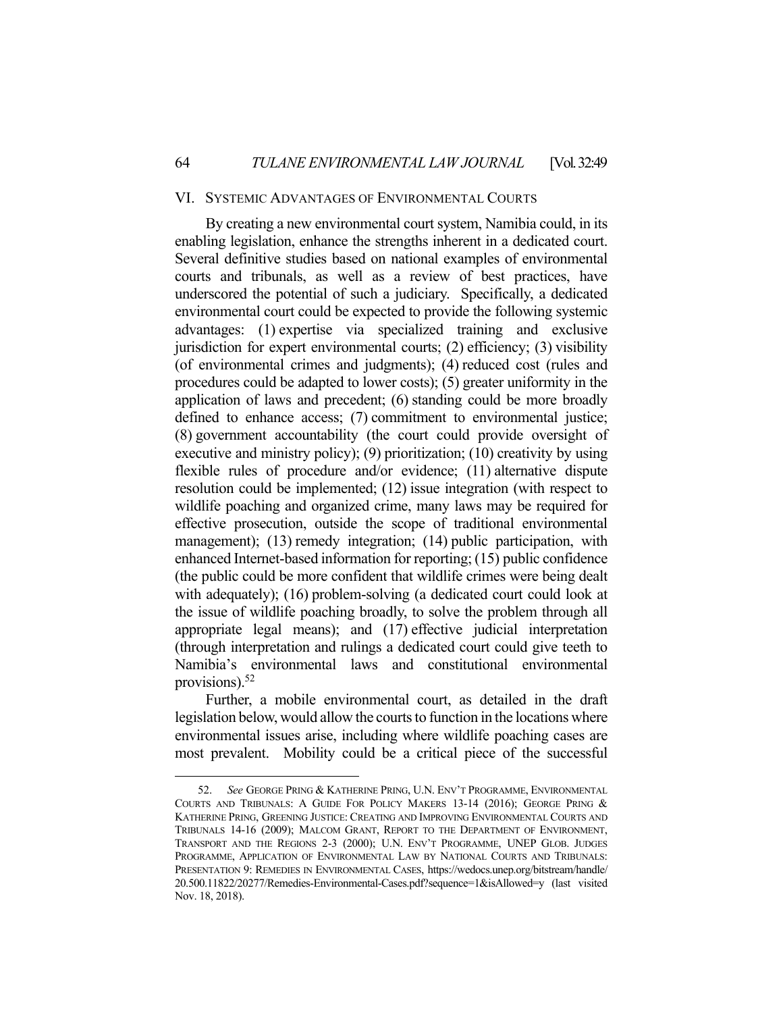#### VI. SYSTEMIC ADVANTAGES OF ENVIRONMENTAL COURTS

 By creating a new environmental court system, Namibia could, in its enabling legislation, enhance the strengths inherent in a dedicated court. Several definitive studies based on national examples of environmental courts and tribunals, as well as a review of best practices, have underscored the potential of such a judiciary. Specifically, a dedicated environmental court could be expected to provide the following systemic advantages: (1) expertise via specialized training and exclusive jurisdiction for expert environmental courts; (2) efficiency; (3) visibility (of environmental crimes and judgments); (4) reduced cost (rules and procedures could be adapted to lower costs); (5) greater uniformity in the application of laws and precedent; (6) standing could be more broadly defined to enhance access; (7) commitment to environmental justice; (8) government accountability (the court could provide oversight of executive and ministry policy); (9) prioritization; (10) creativity by using flexible rules of procedure and/or evidence; (11) alternative dispute resolution could be implemented; (12) issue integration (with respect to wildlife poaching and organized crime, many laws may be required for effective prosecution, outside the scope of traditional environmental management); (13) remedy integration; (14) public participation, with enhanced Internet-based information for reporting; (15) public confidence (the public could be more confident that wildlife crimes were being dealt with adequately); (16) problem-solving (a dedicated court could look at the issue of wildlife poaching broadly, to solve the problem through all appropriate legal means); and (17) effective judicial interpretation (through interpretation and rulings a dedicated court could give teeth to Namibia's environmental laws and constitutional environmental provisions).52

 Further, a mobile environmental court, as detailed in the draft legislation below, would allow the courts to function in the locations where environmental issues arise, including where wildlife poaching cases are most prevalent. Mobility could be a critical piece of the successful

 <sup>52.</sup> *See* GEORGE PRING & KATHERINE PRING, U.N. ENV'T PROGRAMME, ENVIRONMENTAL COURTS AND TRIBUNALS: A GUIDE FOR POLICY MAKERS 13-14 (2016); GEORGE PRING & KATHERINE PRING, GREENING JUSTICE: CREATING AND IMPROVING ENVIRONMENTAL COURTS AND TRIBUNALS 14-16 (2009); MALCOM GRANT, REPORT TO THE DEPARTMENT OF ENVIRONMENT, TRANSPORT AND THE REGIONS 2-3 (2000); U.N. ENV'T PROGRAMME, UNEP GLOB. JUDGES PROGRAMME, APPLICATION OF ENVIRONMENTAL LAW BY NATIONAL COURTS AND TRIBUNALS: PRESENTATION 9: REMEDIES IN ENVIRONMENTAL CASES, https://wedocs.unep.org/bitstream/handle/ 20.500.11822/20277/Remedies-Environmental-Cases.pdf?sequence=1&isAllowed=y (last visited Nov. 18, 2018).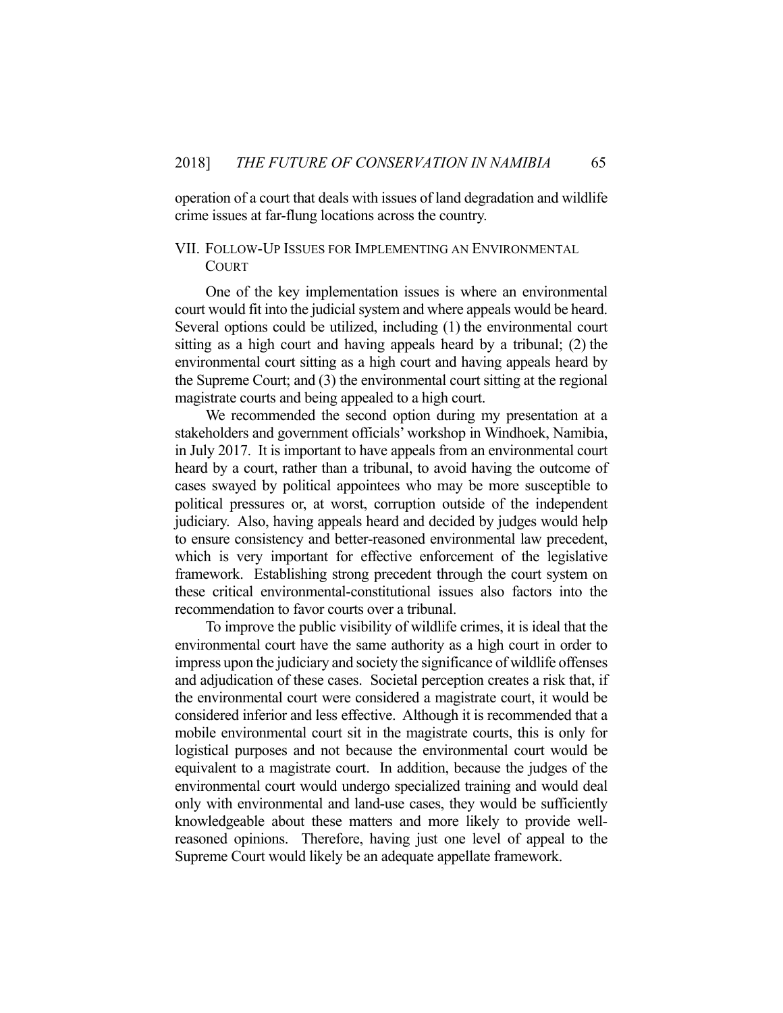operation of a court that deals with issues of land degradation and wildlife crime issues at far-flung locations across the country.

### VII. FOLLOW-UP ISSUES FOR IMPLEMENTING AN ENVIRONMENTAL COURT

 One of the key implementation issues is where an environmental court would fit into the judicial system and where appeals would be heard. Several options could be utilized, including (1) the environmental court sitting as a high court and having appeals heard by a tribunal; (2) the environmental court sitting as a high court and having appeals heard by the Supreme Court; and (3) the environmental court sitting at the regional magistrate courts and being appealed to a high court.

 We recommended the second option during my presentation at a stakeholders and government officials' workshop in Windhoek, Namibia, in July 2017. It is important to have appeals from an environmental court heard by a court, rather than a tribunal, to avoid having the outcome of cases swayed by political appointees who may be more susceptible to political pressures or, at worst, corruption outside of the independent judiciary. Also, having appeals heard and decided by judges would help to ensure consistency and better-reasoned environmental law precedent, which is very important for effective enforcement of the legislative framework. Establishing strong precedent through the court system on these critical environmental-constitutional issues also factors into the recommendation to favor courts over a tribunal.

 To improve the public visibility of wildlife crimes, it is ideal that the environmental court have the same authority as a high court in order to impress upon the judiciary and society the significance of wildlife offenses and adjudication of these cases. Societal perception creates a risk that, if the environmental court were considered a magistrate court, it would be considered inferior and less effective. Although it is recommended that a mobile environmental court sit in the magistrate courts, this is only for logistical purposes and not because the environmental court would be equivalent to a magistrate court. In addition, because the judges of the environmental court would undergo specialized training and would deal only with environmental and land-use cases, they would be sufficiently knowledgeable about these matters and more likely to provide wellreasoned opinions. Therefore, having just one level of appeal to the Supreme Court would likely be an adequate appellate framework.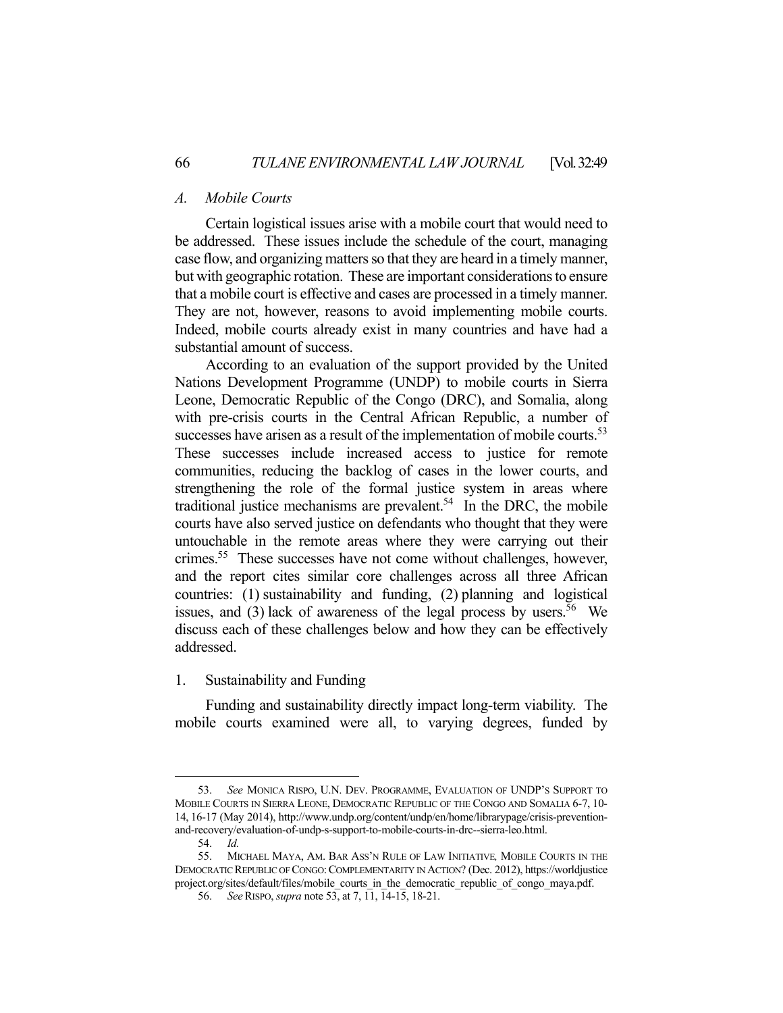### *A. Mobile Courts*

 Certain logistical issues arise with a mobile court that would need to be addressed. These issues include the schedule of the court, managing case flow, and organizing matters so that they are heard in a timely manner, but with geographic rotation. These are important considerations to ensure that a mobile court is effective and cases are processed in a timely manner. They are not, however, reasons to avoid implementing mobile courts. Indeed, mobile courts already exist in many countries and have had a substantial amount of success.

 According to an evaluation of the support provided by the United Nations Development Programme (UNDP) to mobile courts in Sierra Leone, Democratic Republic of the Congo (DRC), and Somalia, along with pre-crisis courts in the Central African Republic, a number of successes have arisen as a result of the implementation of mobile courts.<sup>53</sup> These successes include increased access to justice for remote communities, reducing the backlog of cases in the lower courts, and strengthening the role of the formal justice system in areas where traditional justice mechanisms are prevalent.<sup>54</sup> In the DRC, the mobile courts have also served justice on defendants who thought that they were untouchable in the remote areas where they were carrying out their crimes.<sup>55</sup> These successes have not come without challenges, however, and the report cites similar core challenges across all three African countries: (1) sustainability and funding, (2) planning and logistical issues, and (3) lack of awareness of the legal process by users.<sup>56</sup> We discuss each of these challenges below and how they can be effectively addressed.

#### 1. Sustainability and Funding

Funding and sustainability directly impact long-term viability. The mobile courts examined were all, to varying degrees, funded by

 <sup>53.</sup> *See* MONICA RISPO, U.N. DEV. PROGRAMME, EVALUATION OF UNDP'S SUPPORT TO MOBILE COURTS IN SIERRA LEONE, DEMOCRATIC REPUBLIC OF THE CONGO AND SOMALIA 6-7, 10- 14, 16-17 (May 2014), http://www.undp.org/content/undp/en/home/librarypage/crisis-preventionand-recovery/evaluation-of-undp-s-support-to-mobile-courts-in-drc--sierra-leo.html.

 <sup>54.</sup> *Id.* 

 <sup>55.</sup> MICHAEL MAYA, AM. BAR ASS'N RULE OF LAW INITIATIVE*,* MOBILE COURTS IN THE DEMOCRATIC REPUBLIC OF CONGO:COMPLEMENTARITY IN ACTION? (Dec. 2012), https://worldjustice project.org/sites/default/files/mobile\_courts\_in\_the\_democratic\_republic\_of\_congo\_maya.pdf.

 <sup>56.</sup> *See*RISPO, *supra* note 53, at 7, 11, 14-15, 18-21.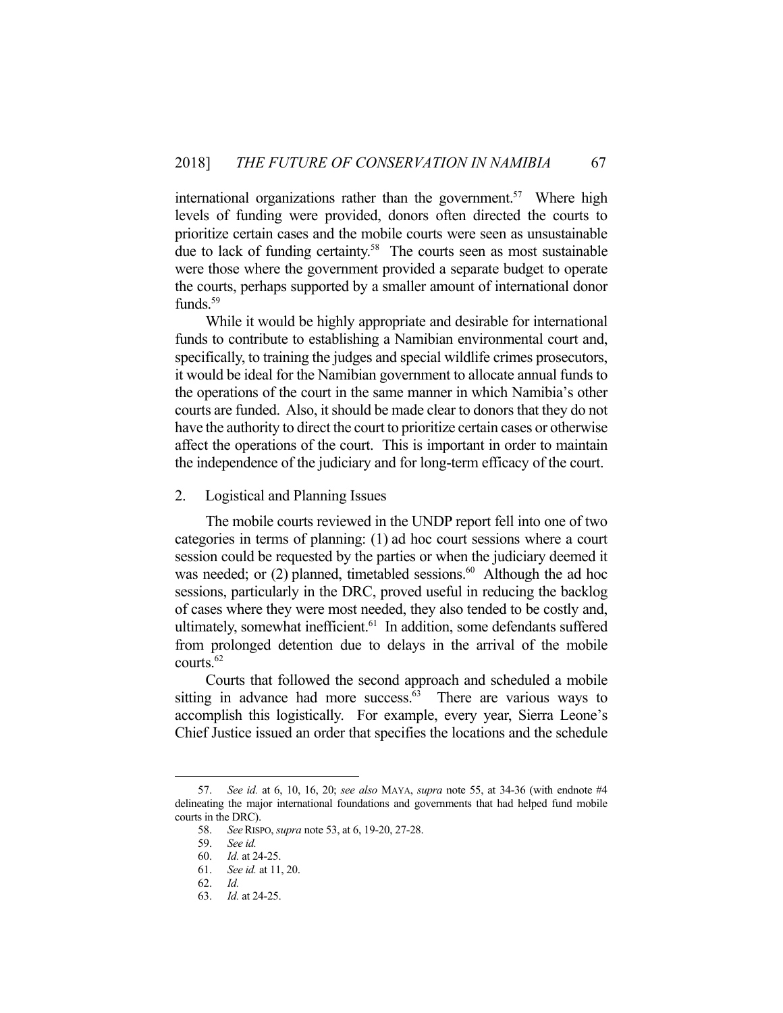international organizations rather than the government.<sup>57</sup> Where high levels of funding were provided, donors often directed the courts to prioritize certain cases and the mobile courts were seen as unsustainable due to lack of funding certainty.<sup>58</sup> The courts seen as most sustainable were those where the government provided a separate budget to operate the courts, perhaps supported by a smaller amount of international donor funds.<sup>59</sup>

 While it would be highly appropriate and desirable for international funds to contribute to establishing a Namibian environmental court and, specifically, to training the judges and special wildlife crimes prosecutors, it would be ideal for the Namibian government to allocate annual funds to the operations of the court in the same manner in which Namibia's other courts are funded. Also, it should be made clear to donors that they do not have the authority to direct the court to prioritize certain cases or otherwise affect the operations of the court. This is important in order to maintain the independence of the judiciary and for long-term efficacy of the court.

2. Logistical and Planning Issues

The mobile courts reviewed in the UNDP report fell into one of two categories in terms of planning: (1) ad hoc court sessions where a court session could be requested by the parties or when the judiciary deemed it was needed; or  $(2)$  planned, timetabled sessions.<sup>60</sup> Although the ad hoc sessions, particularly in the DRC, proved useful in reducing the backlog of cases where they were most needed, they also tended to be costly and, ultimately, somewhat inefficient.<sup>61</sup> In addition, some defendants suffered from prolonged detention due to delays in the arrival of the mobile courts.<sup>62</sup>

 Courts that followed the second approach and scheduled a mobile sitting in advance had more success. $63$  There are various ways to accomplish this logistically. For example, every year, Sierra Leone's Chief Justice issued an order that specifies the locations and the schedule

 <sup>57.</sup> *See id.* at 6, 10, 16, 20; *see also* MAYA, *supra* note 55, at 34-36 (with endnote #4 delineating the major international foundations and governments that had helped fund mobile courts in the DRC).

 <sup>58.</sup> *See*RISPO, *supra* note 53, at 6, 19-20, 27-28.

 <sup>59.</sup> *See id.* 

 <sup>60.</sup> *Id.* at 24-25.

 <sup>61.</sup> *See id.* at 11, 20.

 <sup>62.</sup> *Id.* 

 <sup>63.</sup> *Id.* at 24-25.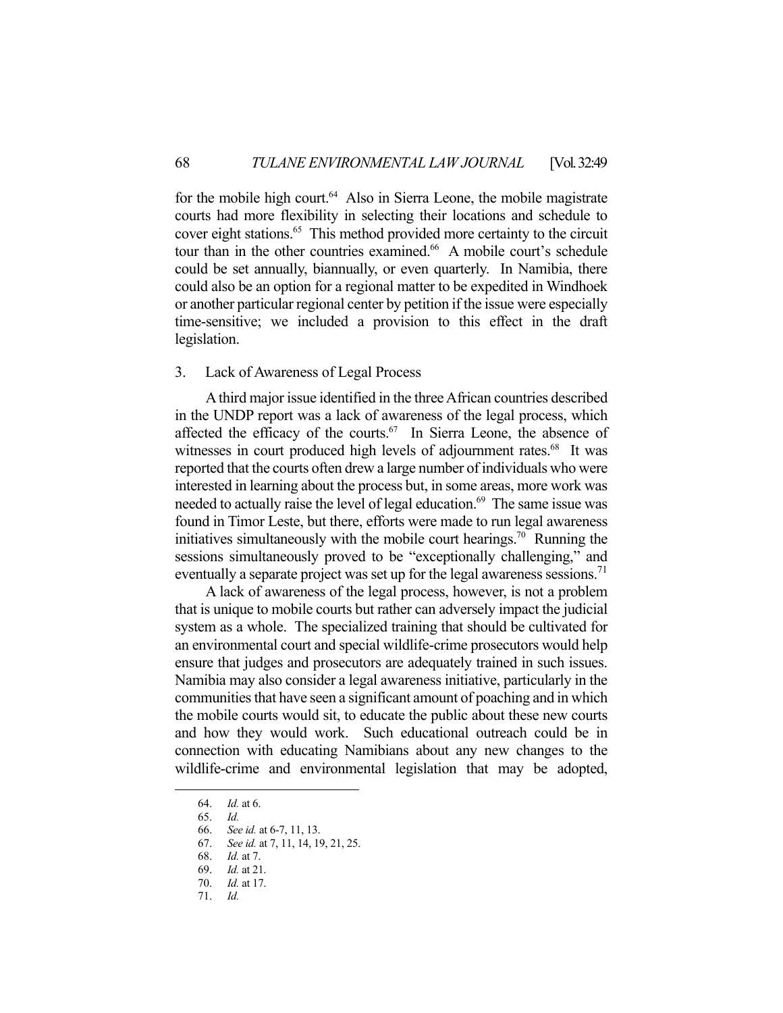for the mobile high court. $64$  Also in Sierra Leone, the mobile magistrate courts had more flexibility in selecting their locations and schedule to cover eight stations.<sup>65</sup> This method provided more certainty to the circuit tour than in the other countries examined.<sup>66</sup> A mobile court's schedule could be set annually, biannually, or even quarterly. In Namibia, there could also be an option for a regional matter to be expedited in Windhoek or another particular regional center by petition if the issue were especially time-sensitive; we included a provision to this effect in the draft legislation.

#### 3. Lack of Awareness of Legal Process

 A third major issue identified in the three African countries described in the UNDP report was a lack of awareness of the legal process, which affected the efficacy of the courts.<sup>67</sup> In Sierra Leone, the absence of witnesses in court produced high levels of adjournment rates.<sup>68</sup> It was reported that the courts often drew a large number of individuals who were interested in learning about the process but, in some areas, more work was needed to actually raise the level of legal education.<sup>69</sup> The same issue was found in Timor Leste, but there, efforts were made to run legal awareness initiatives simultaneously with the mobile court hearings.<sup>70</sup> Running the sessions simultaneously proved to be "exceptionally challenging," and eventually a separate project was set up for the legal awareness sessions.<sup>71</sup>

 A lack of awareness of the legal process, however, is not a problem that is unique to mobile courts but rather can adversely impact the judicial system as a whole. The specialized training that should be cultivated for an environmental court and special wildlife-crime prosecutors would help ensure that judges and prosecutors are adequately trained in such issues. Namibia may also consider a legal awareness initiative, particularly in the communities that have seen a significant amount of poaching and in which the mobile courts would sit, to educate the public about these new courts and how they would work. Such educational outreach could be in connection with educating Namibians about any new changes to the wildlife-crime and environmental legislation that may be adopted,

 <sup>64.</sup> *Id.* at 6.

 <sup>65.</sup> *Id.*

 <sup>66.</sup> *See id.* at 6-7, 11, 13.

 <sup>67.</sup> *See id.* at 7, 11, 14, 19, 21, 25.

 <sup>68.</sup> *Id.* at 7.

 <sup>69.</sup> *Id.* at 21.

 <sup>70.</sup> *Id.* at 17.

 <sup>71.</sup> *Id.*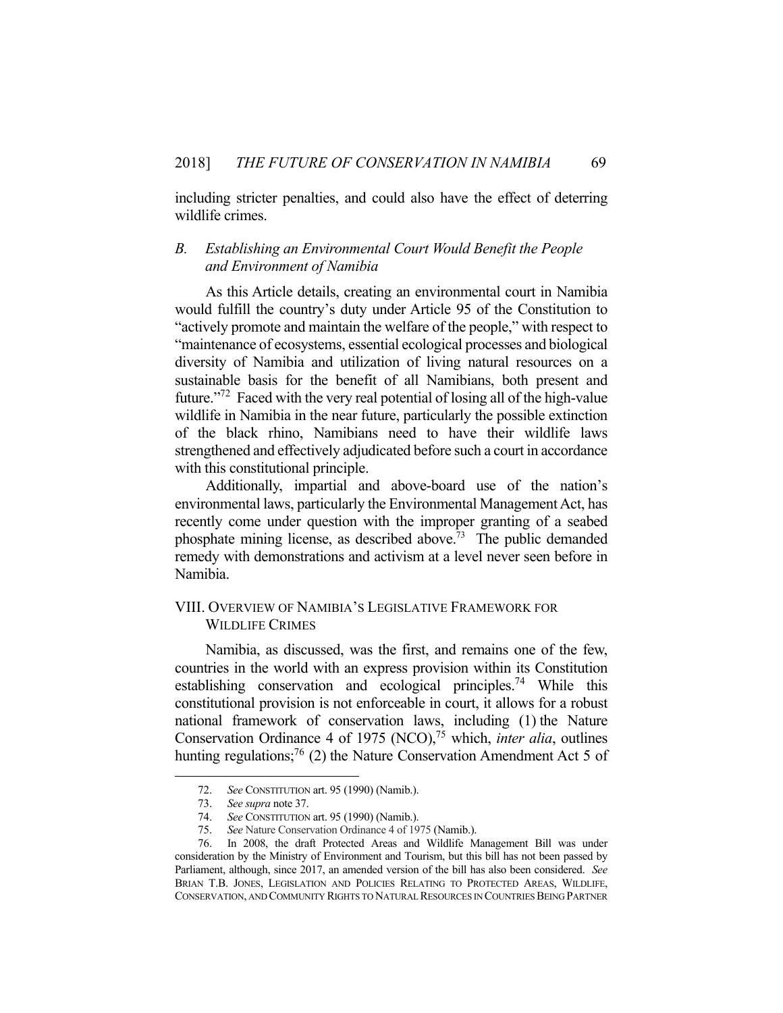including stricter penalties, and could also have the effect of deterring wildlife crimes.

## *B. Establishing an Environmental Court Would Benefit the People and Environment of Namibia*

 As this Article details, creating an environmental court in Namibia would fulfill the country's duty under Article 95 of the Constitution to "actively promote and maintain the welfare of the people," with respect to "maintenance of ecosystems, essential ecological processes and biological diversity of Namibia and utilization of living natural resources on a sustainable basis for the benefit of all Namibians, both present and future."72 Faced with the very real potential of losing all of the high-value wildlife in Namibia in the near future, particularly the possible extinction of the black rhino, Namibians need to have their wildlife laws strengthened and effectively adjudicated before such a court in accordance with this constitutional principle.

 Additionally, impartial and above-board use of the nation's environmental laws, particularly the Environmental Management Act, has recently come under question with the improper granting of a seabed phosphate mining license, as described above.73 The public demanded remedy with demonstrations and activism at a level never seen before in Namibia.

## VIII. OVERVIEW OF NAMIBIA'S LEGISLATIVE FRAMEWORK FOR WILDLIFE CRIMES

 Namibia, as discussed, was the first, and remains one of the few, countries in the world with an express provision within its Constitution establishing conservation and ecological principles.<sup>74</sup> While this constitutional provision is not enforceable in court, it allows for a robust national framework of conservation laws, including (1) the Nature Conservation Ordinance 4 of 1975 (NCO),<sup>75</sup> which, *inter alia*, outlines hunting regulations;<sup>76</sup> (2) the Nature Conservation Amendment Act 5 of

 <sup>72.</sup> *See* CONSTITUTION art. 95 (1990) (Namib.).

 <sup>73.</sup> *See supra* note 37.

 <sup>74.</sup> *See* CONSTITUTION art. 95 (1990) (Namib.).

 <sup>75.</sup> *See* Nature Conservation Ordinance 4 of 1975 (Namib.).

In 2008, the draft Protected Areas and Wildlife Management Bill was under consideration by the Ministry of Environment and Tourism, but this bill has not been passed by Parliament, although, since 2017, an amended version of the bill has also been considered. *See* BRIAN T.B. JONES, LEGISLATION AND POLICIES RELATING TO PROTECTED AREAS, WILDLIFE, CONSERVATION, AND COMMUNITY RIGHTS TO NATURAL RESOURCES IN COUNTRIES BEING PARTNER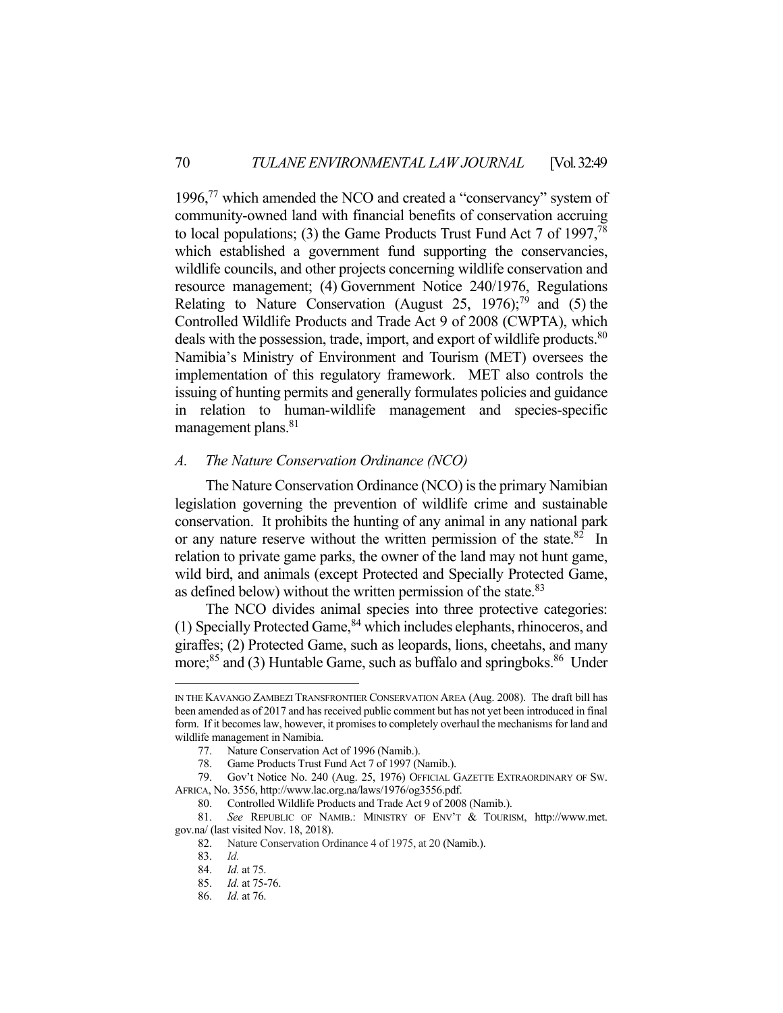1996,<sup>77</sup> which amended the NCO and created a "conservancy" system of community-owned land with financial benefits of conservation accruing to local populations; (3) the Game Products Trust Fund Act 7 of 1997, $^{78}$ which established a government fund supporting the conservancies, wildlife councils, and other projects concerning wildlife conservation and resource management; (4) Government Notice 240/1976, Regulations Relating to Nature Conservation (August 25, 1976);<sup>79</sup> and (5) the Controlled Wildlife Products and Trade Act 9 of 2008 (CWPTA), which deals with the possession, trade, import, and export of wildlife products.<sup>80</sup> Namibia's Ministry of Environment and Tourism (MET) oversees the implementation of this regulatory framework. MET also controls the issuing of hunting permits and generally formulates policies and guidance in relation to human-wildlife management and species-specific management plans.<sup>81</sup>

#### *A. The Nature Conservation Ordinance (NCO)*

 The Nature Conservation Ordinance (NCO) is the primary Namibian legislation governing the prevention of wildlife crime and sustainable conservation. It prohibits the hunting of any animal in any national park or any nature reserve without the written permission of the state. $82 \text{ In}$ relation to private game parks, the owner of the land may not hunt game, wild bird, and animals (except Protected and Specially Protected Game, as defined below) without the written permission of the state.<sup>83</sup>

 The NCO divides animal species into three protective categories: (1) Specially Protected Game,  $84$  which includes elephants, rhinoceros, and giraffes; (2) Protected Game, such as leopards, lions, cheetahs, and many more;<sup>85</sup> and (3) Huntable Game, such as buffalo and springboks.<sup>86</sup> Under

IN THE KAVANGO ZAMBEZI TRANSFRONTIER CONSERVATION AREA (Aug. 2008). The draft bill has been amended as of 2017 and has received public comment but has not yet been introduced in final form. If it becomes law, however, it promises to completely overhaul the mechanisms for land and wildlife management in Namibia.

 <sup>77.</sup> Nature Conservation Act of 1996 (Namib.).

 <sup>78.</sup> Game Products Trust Fund Act 7 of 1997 (Namib.).

 <sup>79.</sup> Gov't Notice No. 240 (Aug. 25, 1976) OFFICIAL GAZETTE EXTRAORDINARY OF SW. AFRICA, No. 3556, http://www.lac.org.na/laws/1976/og3556.pdf.

 <sup>80.</sup> Controlled Wildlife Products and Trade Act 9 of 2008 (Namib.).

 <sup>81.</sup> *See* REPUBLIC OF NAMIB.: MINISTRY OF ENV'T & TOURISM, http://www.met. gov.na/ (last visited Nov. 18, 2018).

 <sup>82.</sup> Nature Conservation Ordinance 4 of 1975, at 20 (Namib.).

 <sup>83.</sup> *Id.* 

 <sup>84.</sup> *Id.* at 75.

 <sup>85.</sup> *Id.* at 75-76.

 <sup>86.</sup> *Id.* at 76.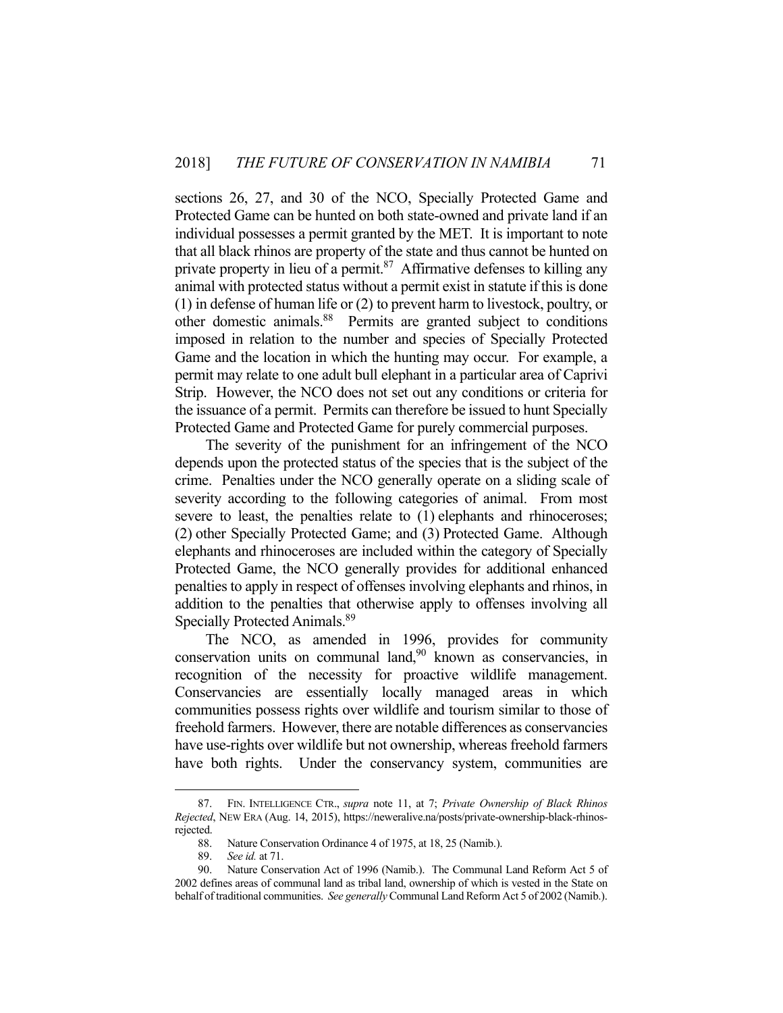sections 26, 27, and 30 of the NCO, Specially Protected Game and Protected Game can be hunted on both state-owned and private land if an individual possesses a permit granted by the MET. It is important to note that all black rhinos are property of the state and thus cannot be hunted on private property in lieu of a permit. $87$  Affirmative defenses to killing any animal with protected status without a permit exist in statute if this is done (1) in defense of human life or (2) to prevent harm to livestock, poultry, or other domestic animals.88 Permits are granted subject to conditions imposed in relation to the number and species of Specially Protected Game and the location in which the hunting may occur. For example, a permit may relate to one adult bull elephant in a particular area of Caprivi Strip. However, the NCO does not set out any conditions or criteria for the issuance of a permit. Permits can therefore be issued to hunt Specially Protected Game and Protected Game for purely commercial purposes.

 The severity of the punishment for an infringement of the NCO depends upon the protected status of the species that is the subject of the crime. Penalties under the NCO generally operate on a sliding scale of severity according to the following categories of animal. From most severe to least, the penalties relate to  $(1)$  elephants and rhinoceroses; (2) other Specially Protected Game; and (3) Protected Game. Although elephants and rhinoceroses are included within the category of Specially Protected Game, the NCO generally provides for additional enhanced penalties to apply in respect of offenses involving elephants and rhinos, in addition to the penalties that otherwise apply to offenses involving all Specially Protected Animals.<sup>89</sup>

 The NCO, as amended in 1996, provides for community conservation units on communal land,<sup>90</sup> known as conservancies, in recognition of the necessity for proactive wildlife management. Conservancies are essentially locally managed areas in which communities possess rights over wildlife and tourism similar to those of freehold farmers. However, there are notable differences as conservancies have use-rights over wildlife but not ownership, whereas freehold farmers have both rights. Under the conservancy system, communities are

 <sup>87.</sup> FIN. INTELLIGENCE CTR., *supra* note 11, at 7; *Private Ownership of Black Rhinos Rejected*, NEW ERA (Aug. 14, 2015), https://neweralive.na/posts/private-ownership-black-rhinosrejected.

 <sup>88.</sup> Nature Conservation Ordinance 4 of 1975, at 18, 25 (Namib.).

 <sup>89.</sup> *See id.* at 71.

 <sup>90.</sup> Nature Conservation Act of 1996 (Namib.). The Communal Land Reform Act 5 of 2002 defines areas of communal land as tribal land, ownership of which is vested in the State on behalf of traditional communities. *See generally* Communal Land Reform Act 5 of 2002 (Namib.).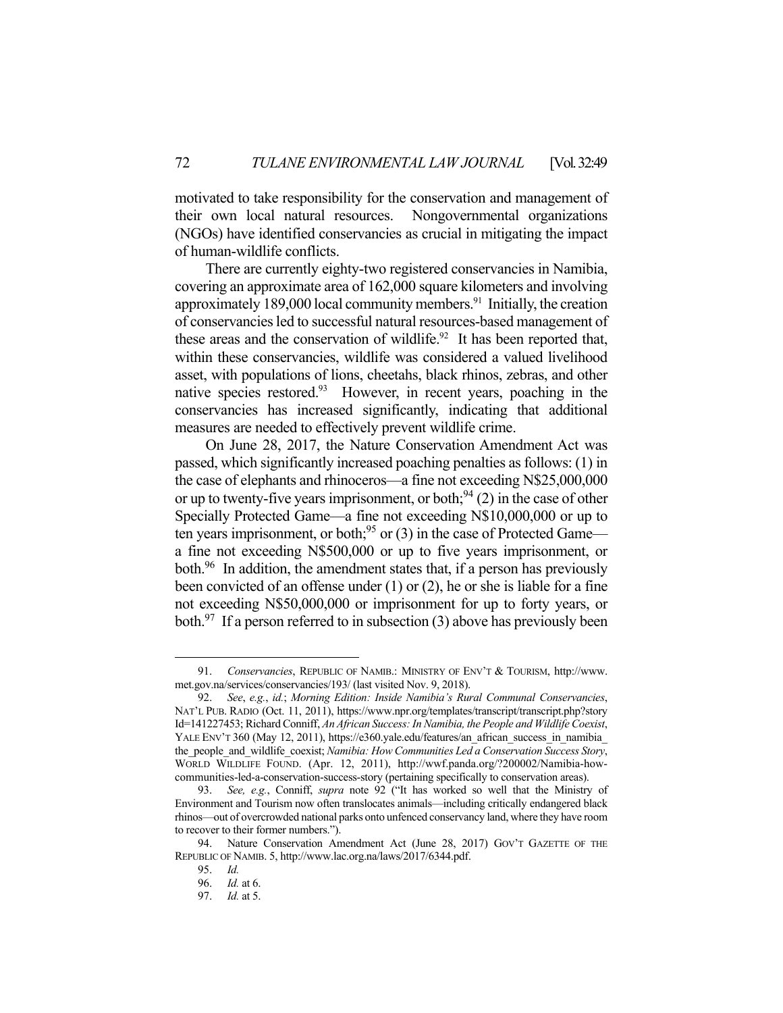motivated to take responsibility for the conservation and management of their own local natural resources. Nongovernmental organizations (NGOs) have identified conservancies as crucial in mitigating the impact of human-wildlife conflicts.

 There are currently eighty-two registered conservancies in Namibia, covering an approximate area of 162,000 square kilometers and involving approximately 189,000 local community members. $91$  Initially, the creation of conservancies led to successful natural resources-based management of these areas and the conservation of wildlife. $92$  It has been reported that, within these conservancies, wildlife was considered a valued livelihood asset, with populations of lions, cheetahs, black rhinos, zebras, and other native species restored. $93$  However, in recent years, poaching in the conservancies has increased significantly, indicating that additional measures are needed to effectively prevent wildlife crime.

 On June 28, 2017, the Nature Conservation Amendment Act was passed, which significantly increased poaching penalties as follows: (1) in the case of elephants and rhinoceros—a fine not exceeding N\$25,000,000 or up to twenty-five years imprisonment, or both;  $94$  (2) in the case of other Specially Protected Game—a fine not exceeding N\$10,000,000 or up to ten years imprisonment, or both;<sup>95</sup> or (3) in the case of Protected Game a fine not exceeding N\$500,000 or up to five years imprisonment, or both.<sup>96</sup> In addition, the amendment states that, if a person has previously been convicted of an offense under (1) or (2), he or she is liable for a fine not exceeding N\$50,000,000 or imprisonment for up to forty years, or both. $97$  If a person referred to in subsection (3) above has previously been

 <sup>91.</sup> *Conservancies*, REPUBLIC OF NAMIB.: MINISTRY OF ENV'T & TOURISM, http://www. met.gov.na/services/conservancies/193/ (last visited Nov. 9, 2018).

 <sup>92.</sup> *See*, *e.g.*, *id.*; *Morning Edition: Inside Namibia's Rural Communal Conservancies*, NAT'L PUB. RADIO (Oct. 11, 2011), https://www.npr.org/templates/transcript/transcript.php?story Id=141227453; Richard Conniff, *An African Success: In Namibia, the People and Wildlife Coexist*, YALE ENV'T 360 (May 12, 2011), https://e360.yale.edu/features/an\_african\_success\_in\_namibia\_ the people and wildlife coexist; *Namibia: How Communities Led a Conservation Success Story*, WORLD WILDLIFE FOUND. (Apr. 12, 2011), http://wwf.panda.org/?200002/Namibia-howcommunities-led-a-conservation-success-story (pertaining specifically to conservation areas).

 <sup>93.</sup> *See, e.g.*, Conniff, *supra* note 92 ("It has worked so well that the Ministry of Environment and Tourism now often translocates animals—including critically endangered black rhinos—out of overcrowded national parks onto unfenced conservancy land, where they have room to recover to their former numbers.").

 <sup>94.</sup> Nature Conservation Amendment Act (June 28, 2017) GOV'T GAZETTE OF THE REPUBLIC OF NAMIB. 5, http://www.lac.org.na/laws/2017/6344.pdf.

 <sup>95.</sup> *Id.*

 <sup>96.</sup> *Id.* at 6.

 <sup>97.</sup> *Id.* at 5.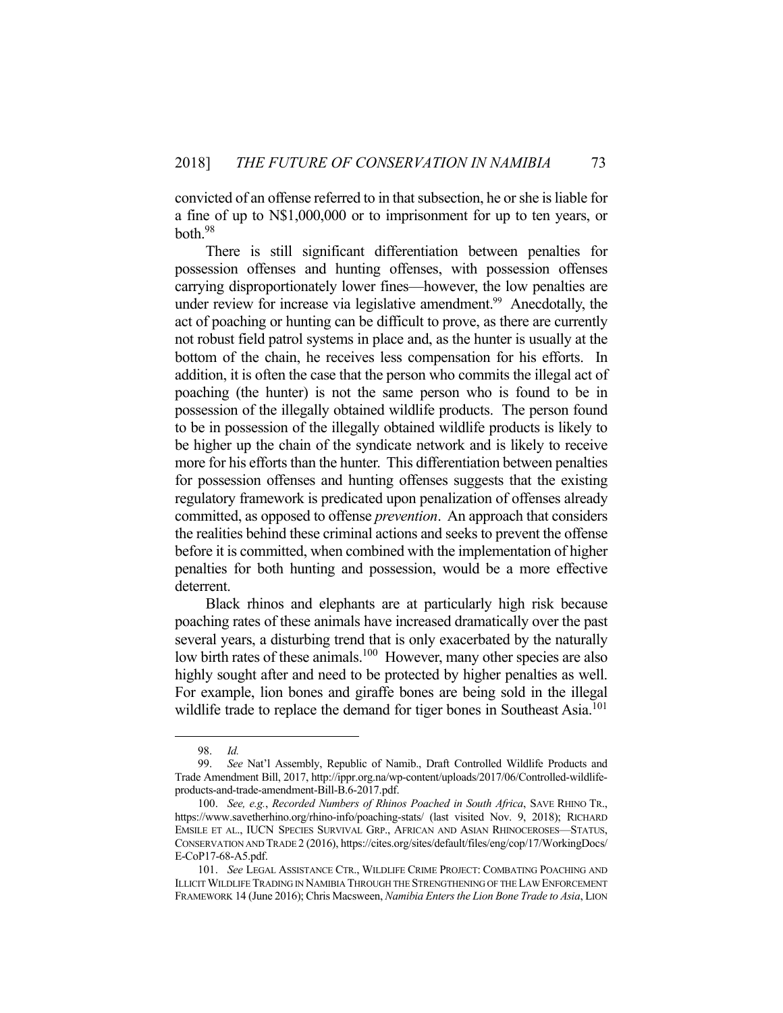convicted of an offense referred to in that subsection, he or she is liable for a fine of up to N\$1,000,000 or to imprisonment for up to ten years, or both.98

 There is still significant differentiation between penalties for possession offenses and hunting offenses, with possession offenses carrying disproportionately lower fines—however, the low penalties are under review for increase via legislative amendment.<sup>99</sup> Anecdotally, the act of poaching or hunting can be difficult to prove, as there are currently not robust field patrol systems in place and, as the hunter is usually at the bottom of the chain, he receives less compensation for his efforts. In addition, it is often the case that the person who commits the illegal act of poaching (the hunter) is not the same person who is found to be in possession of the illegally obtained wildlife products. The person found to be in possession of the illegally obtained wildlife products is likely to be higher up the chain of the syndicate network and is likely to receive more for his efforts than the hunter. This differentiation between penalties for possession offenses and hunting offenses suggests that the existing regulatory framework is predicated upon penalization of offenses already committed, as opposed to offense *prevention*. An approach that considers the realities behind these criminal actions and seeks to prevent the offense before it is committed, when combined with the implementation of higher penalties for both hunting and possession, would be a more effective deterrent.

 Black rhinos and elephants are at particularly high risk because poaching rates of these animals have increased dramatically over the past several years, a disturbing trend that is only exacerbated by the naturally low birth rates of these animals.<sup>100</sup> However, many other species are also highly sought after and need to be protected by higher penalties as well. For example, lion bones and giraffe bones are being sold in the illegal wildlife trade to replace the demand for tiger bones in Southeast Asia.<sup>101</sup>

 <sup>98.</sup> *Id.* 

 <sup>99.</sup> *See* Nat'l Assembly, Republic of Namib., Draft Controlled Wildlife Products and Trade Amendment Bill, 2017, http://ippr.org.na/wp-content/uploads/2017/06/Controlled-wildlifeproducts-and-trade-amendment-Bill-B.6-2017.pdf.

 <sup>100.</sup> *See, e.g.*, *Recorded Numbers of Rhinos Poached in South Africa*, SAVE RHINO TR., https://www.savetherhino.org/rhino-info/poaching-stats/ (last visited Nov. 9, 2018); RICHARD EMSILE ET AL., IUCN SPECIES SURVIVAL GRP., AFRICAN AND ASIAN RHINOCEROSES—STATUS, CONSERVATION AND TRADE 2 (2016), https://cites.org/sites/default/files/eng/cop/17/WorkingDocs/ E-CoP17-68-A5.pdf.

 <sup>101.</sup> *See* LEGAL ASSISTANCE CTR., WILDLIFE CRIME PROJECT: COMBATING POACHING AND ILLICIT WILDLIFE TRADING IN NAMIBIA THROUGH THE STRENGTHENING OF THE LAW ENFORCEMENT FRAMEWORK 14 (June 2016); Chris Macsween, *Namibia Enters the Lion Bone Trade to Asia*, LION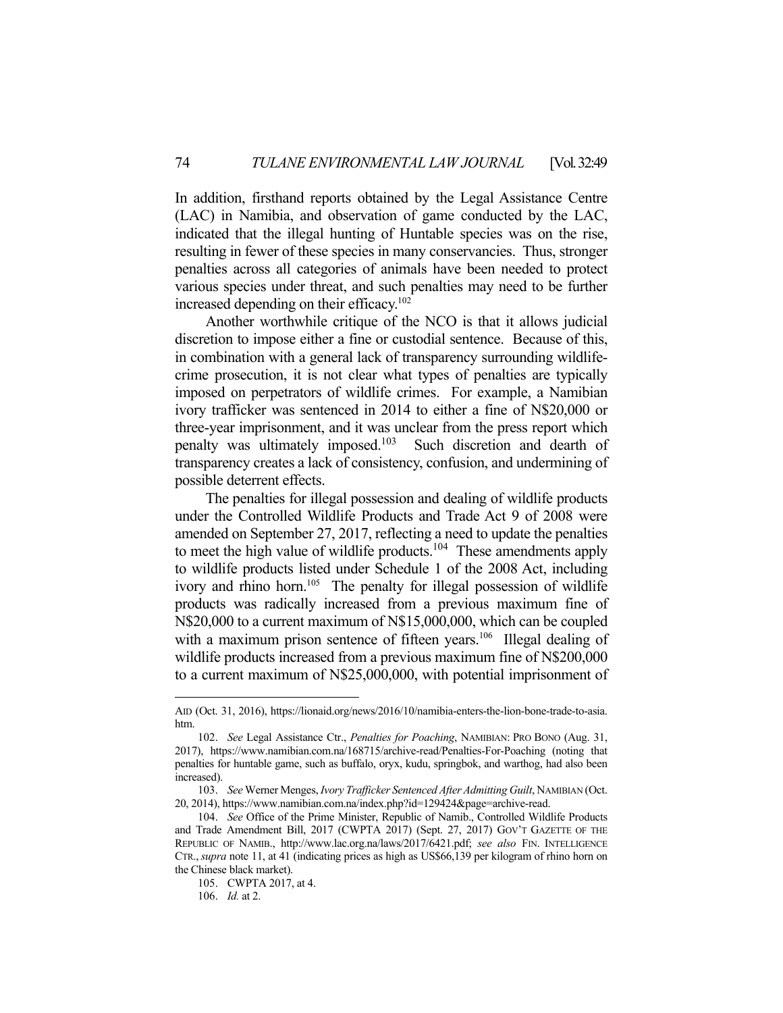In addition, firsthand reports obtained by the Legal Assistance Centre (LAC) in Namibia, and observation of game conducted by the LAC, indicated that the illegal hunting of Huntable species was on the rise, resulting in fewer of these species in many conservancies. Thus, stronger penalties across all categories of animals have been needed to protect various species under threat, and such penalties may need to be further increased depending on their efficacy.<sup>102</sup>

 Another worthwhile critique of the NCO is that it allows judicial discretion to impose either a fine or custodial sentence. Because of this, in combination with a general lack of transparency surrounding wildlifecrime prosecution, it is not clear what types of penalties are typically imposed on perpetrators of wildlife crimes. For example, a Namibian ivory trafficker was sentenced in 2014 to either a fine of N\$20,000 or three-year imprisonment, and it was unclear from the press report which penalty was ultimately imposed.103 Such discretion and dearth of transparency creates a lack of consistency, confusion, and undermining of possible deterrent effects.

 The penalties for illegal possession and dealing of wildlife products under the Controlled Wildlife Products and Trade Act 9 of 2008 were amended on September 27, 2017, reflecting a need to update the penalties to meet the high value of wildlife products.<sup>104</sup> These amendments apply to wildlife products listed under Schedule 1 of the 2008 Act, including ivory and rhino horn.<sup>105</sup> The penalty for illegal possession of wildlife products was radically increased from a previous maximum fine of N\$20,000 to a current maximum of N\$15,000,000, which can be coupled with a maximum prison sentence of fifteen years.<sup>106</sup> Illegal dealing of wildlife products increased from a previous maximum fine of N\$200,000 to a current maximum of N\$25,000,000, with potential imprisonment of

AID (Oct. 31, 2016), https://lionaid.org/news/2016/10/namibia-enters-the-lion-bone-trade-to-asia. htm.

 <sup>102.</sup> *See* Legal Assistance Ctr., *Penalties for Poaching*, NAMIBIAN: PRO BONO (Aug. 31, 2017), https://www.namibian.com.na/168715/archive-read/Penalties-For-Poaching (noting that penalties for huntable game, such as buffalo, oryx, kudu, springbok, and warthog, had also been increased).

 <sup>103.</sup> *See* Werner Menges, *Ivory Trafficker Sentenced After Admitting Guilt*, NAMIBIAN (Oct. 20, 2014), https://www.namibian.com.na/index.php?id=129424&page=archive-read.

 <sup>104.</sup> *See* Office of the Prime Minister, Republic of Namib., Controlled Wildlife Products and Trade Amendment Bill, 2017 (CWPTA 2017) (Sept. 27, 2017) GOV'T GAZETTE OF THE REPUBLIC OF NAMIB., http://www.lac.org.na/laws/2017/6421.pdf; *see also* FIN. INTELLIGENCE CTR.,*supra* note 11, at 41 (indicating prices as high as US\$66,139 per kilogram of rhino horn on the Chinese black market).

 <sup>105.</sup> CWPTA 2017, at 4.

 <sup>106.</sup> *Id.* at 2.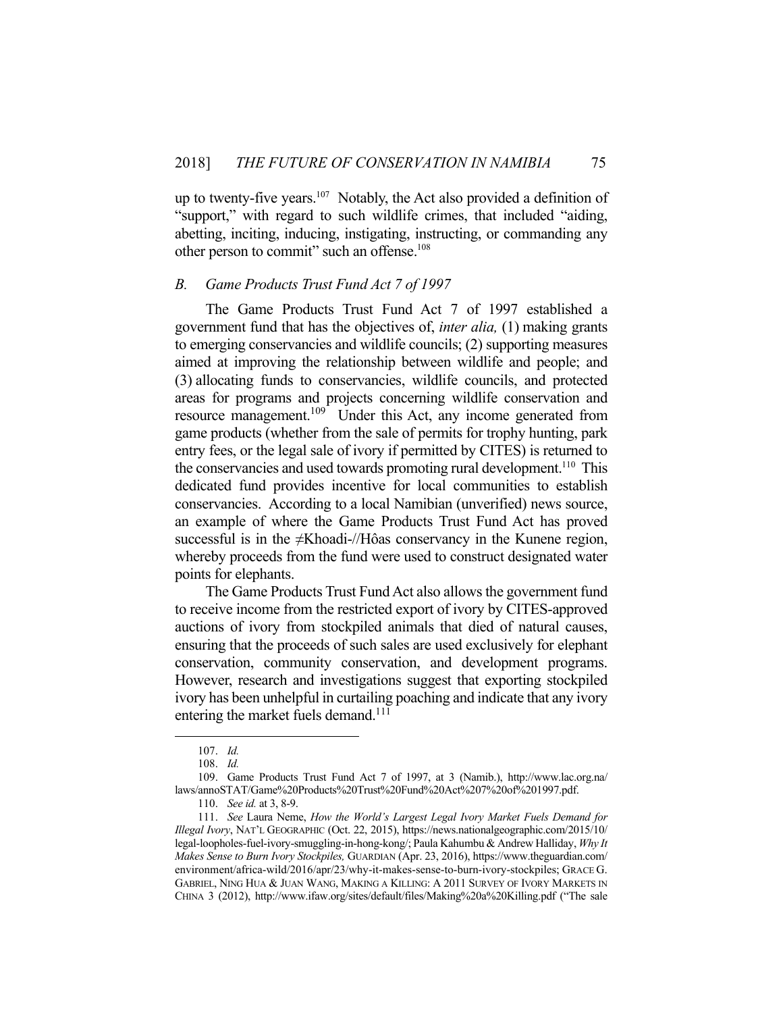up to twenty-five years. $107$  Notably, the Act also provided a definition of "support," with regard to such wildlife crimes, that included "aiding, abetting, inciting, inducing, instigating, instructing, or commanding any other person to commit" such an offense.<sup>108</sup>

## *B. Game Products Trust Fund Act 7 of 1997*

 The Game Products Trust Fund Act 7 of 1997 established a government fund that has the objectives of, *inter alia,* (1) making grants to emerging conservancies and wildlife councils; (2) supporting measures aimed at improving the relationship between wildlife and people; and (3) allocating funds to conservancies, wildlife councils, and protected areas for programs and projects concerning wildlife conservation and resource management.<sup>109</sup> Under this Act, any income generated from game products (whether from the sale of permits for trophy hunting, park entry fees, or the legal sale of ivory if permitted by CITES) is returned to the conservancies and used towards promoting rural development.<sup>110</sup> This dedicated fund provides incentive for local communities to establish conservancies. According to a local Namibian (unverified) news source, an example of where the Game Products Trust Fund Act has proved successful is in the ≠Khoadi-//Hôas conservancy in the Kunene region, whereby proceeds from the fund were used to construct designated water points for elephants.

 The Game Products Trust Fund Act also allows the government fund to receive income from the restricted export of ivory by CITES-approved auctions of ivory from stockpiled animals that died of natural causes, ensuring that the proceeds of such sales are used exclusively for elephant conservation, community conservation, and development programs. However, research and investigations suggest that exporting stockpiled ivory has been unhelpful in curtailing poaching and indicate that any ivory entering the market fuels demand.<sup>111</sup>

 <sup>107.</sup> *Id.* 

 <sup>108.</sup> *Id.*

 <sup>109.</sup> Game Products Trust Fund Act 7 of 1997, at 3 (Namib.), http://www.lac.org.na/ laws/annoSTAT/Game%20Products%20Trust%20Fund%20Act%207%20of%201997.pdf.

 <sup>110.</sup> *See id.* at 3, 8-9.

 <sup>111.</sup> *See* Laura Neme, *How the World's Largest Legal Ivory Market Fuels Demand for Illegal Ivory*, NAT'L GEOGRAPHIC (Oct. 22, 2015), https://news.nationalgeographic.com/2015/10/ legal-loopholes-fuel-ivory-smuggling-in-hong-kong/; Paula Kahumbu & Andrew Halliday, *Why It Makes Sense to Burn Ivory Stockpiles,* GUARDIAN (Apr. 23, 2016), https://www.theguardian.com/ environment/africa-wild/2016/apr/23/why-it-makes-sense-to-burn-ivory-stockpiles; GRACE G. GABRIEL, NING HUA & JUAN WANG, MAKING A KILLING: A 2011 SURVEY OF IVORY MARKETS IN CHINA 3 (2012), http://www.ifaw.org/sites/default/files/Making%20a%20Killing.pdf ("The sale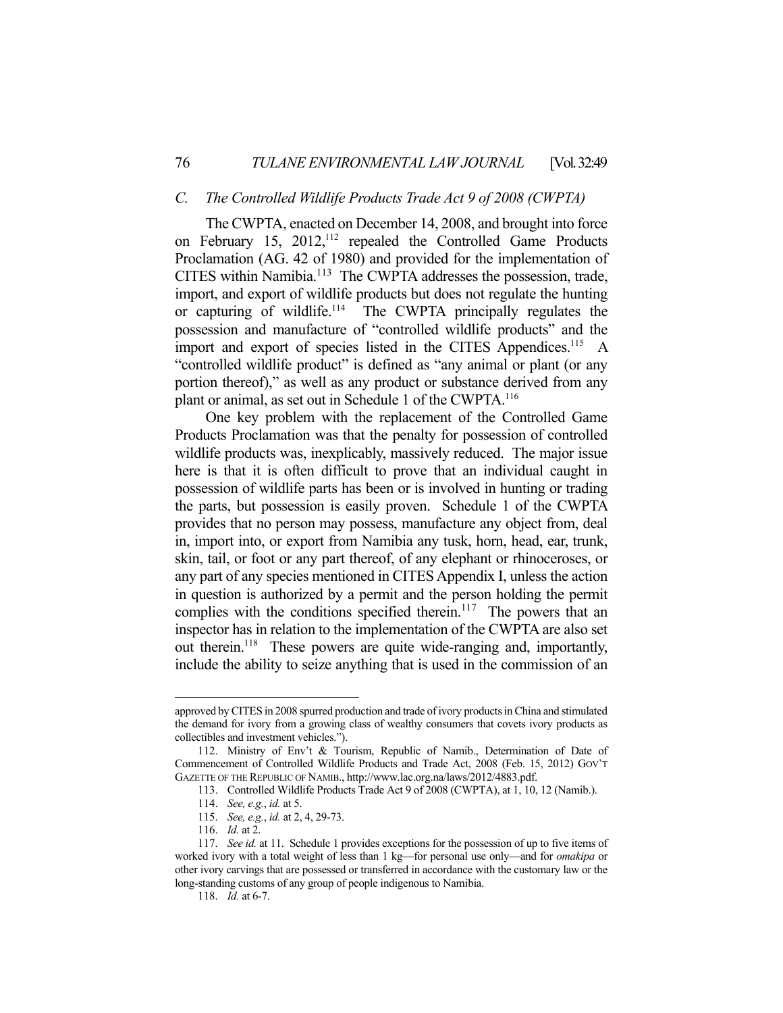#### *C. The Controlled Wildlife Products Trade Act 9 of 2008 (CWPTA)*

 The CWPTA, enacted on December 14, 2008, and brought into force on February 15, 2012,<sup>112</sup> repealed the Controlled Game Products Proclamation (AG. 42 of 1980) and provided for the implementation of CITES within Namibia.113 The CWPTA addresses the possession, trade, import, and export of wildlife products but does not regulate the hunting or capturing of wildlife.<sup>114</sup> The CWPTA principally regulates the possession and manufacture of "controlled wildlife products" and the import and export of species listed in the CITES Appendices.<sup>115</sup> A "controlled wildlife product" is defined as "any animal or plant (or any portion thereof)," as well as any product or substance derived from any plant or animal, as set out in Schedule 1 of the CWPTA.<sup>116</sup>

 One key problem with the replacement of the Controlled Game Products Proclamation was that the penalty for possession of controlled wildlife products was, inexplicably, massively reduced. The major issue here is that it is often difficult to prove that an individual caught in possession of wildlife parts has been or is involved in hunting or trading the parts, but possession is easily proven. Schedule 1 of the CWPTA provides that no person may possess, manufacture any object from, deal in, import into, or export from Namibia any tusk, horn, head, ear, trunk, skin, tail, or foot or any part thereof, of any elephant or rhinoceroses, or any part of any species mentioned in CITES Appendix I, unless the action in question is authorized by a permit and the person holding the permit complies with the conditions specified therein.<sup>117</sup> The powers that an inspector has in relation to the implementation of the CWPTA are also set out therein.<sup>118</sup> These powers are quite wide-ranging and, importantly, include the ability to seize anything that is used in the commission of an

approved by CITES in 2008 spurred production and trade of ivory products in China and stimulated the demand for ivory from a growing class of wealthy consumers that covets ivory products as collectibles and investment vehicles.").

 <sup>112.</sup> Ministry of Env't & Tourism, Republic of Namib., Determination of Date of Commencement of Controlled Wildlife Products and Trade Act, 2008 (Feb. 15, 2012) GOV'T GAZETTE OF THE REPUBLIC OF NAMIB., http://www.lac.org.na/laws/2012/4883.pdf.

 <sup>113.</sup> Controlled Wildlife Products Trade Act 9 of 2008 (CWPTA), at 1, 10, 12 (Namib.).

 <sup>114.</sup> *See, e.g.*, *id.* at 5.

 <sup>115.</sup> *See, e.g.*, *id.* at 2, 4, 29-73.

 <sup>116.</sup> *Id.* at 2.

 <sup>117.</sup> *See id.* at 11. Schedule 1 provides exceptions for the possession of up to five items of worked ivory with a total weight of less than 1 kg—for personal use only—and for *omakipa* or other ivory carvings that are possessed or transferred in accordance with the customary law or the long-standing customs of any group of people indigenous to Namibia.

 <sup>118.</sup> *Id.* at 6-7.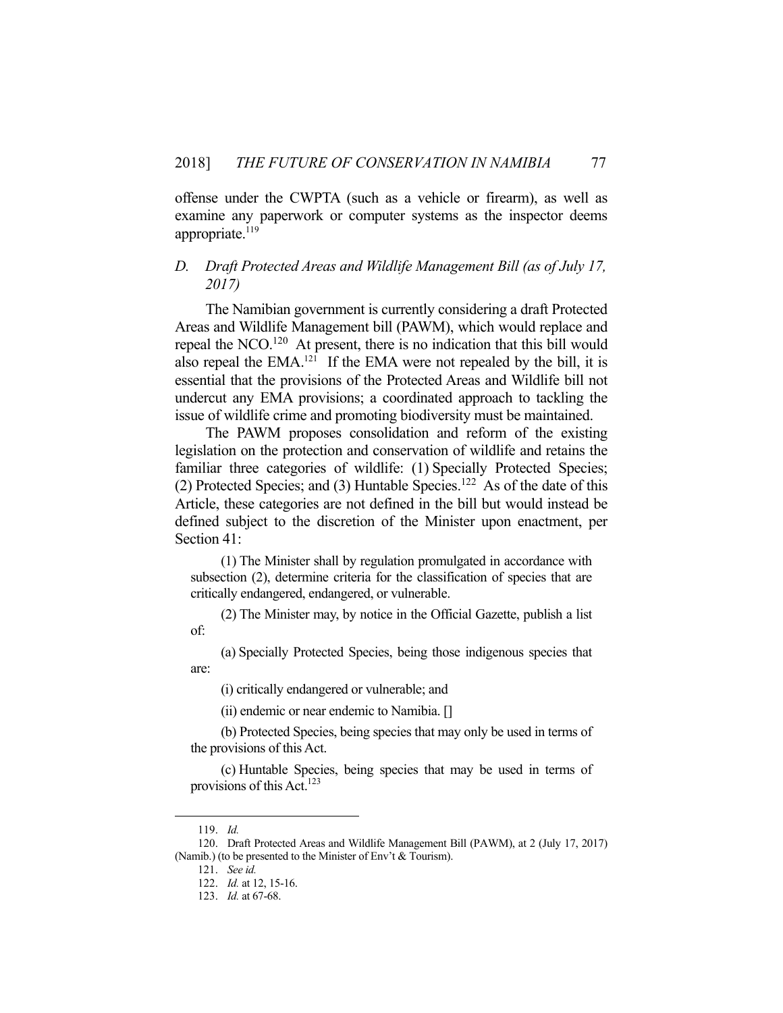offense under the CWPTA (such as a vehicle or firearm), as well as examine any paperwork or computer systems as the inspector deems appropriate.<sup>119</sup>

## *D. Draft Protected Areas and Wildlife Management Bill (as of July 17, 2017)*

 The Namibian government is currently considering a draft Protected Areas and Wildlife Management bill (PAWM), which would replace and repeal the NCO.<sup>120</sup> At present, there is no indication that this bill would also repeal the EMA.<sup>121</sup> If the EMA were not repealed by the bill, it is essential that the provisions of the Protected Areas and Wildlife bill not undercut any EMA provisions; a coordinated approach to tackling the issue of wildlife crime and promoting biodiversity must be maintained.

 The PAWM proposes consolidation and reform of the existing legislation on the protection and conservation of wildlife and retains the familiar three categories of wildlife: (1) Specially Protected Species; (2) Protected Species; and (3) Huntable Species.<sup>122</sup> As of the date of this Article, these categories are not defined in the bill but would instead be defined subject to the discretion of the Minister upon enactment, per Section 41:

 (1) The Minister shall by regulation promulgated in accordance with subsection (2), determine criteria for the classification of species that are critically endangered, endangered, or vulnerable.

 (2) The Minister may, by notice in the Official Gazette, publish a list of:

 (a) Specially Protected Species, being those indigenous species that are:

(i) critically endangered or vulnerable; and

(ii) endemic or near endemic to Namibia. []

 (b) Protected Species, being species that may only be used in terms of the provisions of this Act.

 (c) Huntable Species, being species that may be used in terms of provisions of this Act.<sup>123</sup>

 <sup>119.</sup> *Id.*

 <sup>120.</sup> Draft Protected Areas and Wildlife Management Bill (PAWM), at 2 (July 17, 2017) (Namib.) (to be presented to the Minister of Env't & Tourism).

 <sup>121.</sup> *See id.* 

 <sup>122.</sup> *Id.* at 12, 15-16.

 <sup>123.</sup> *Id.* at 67-68.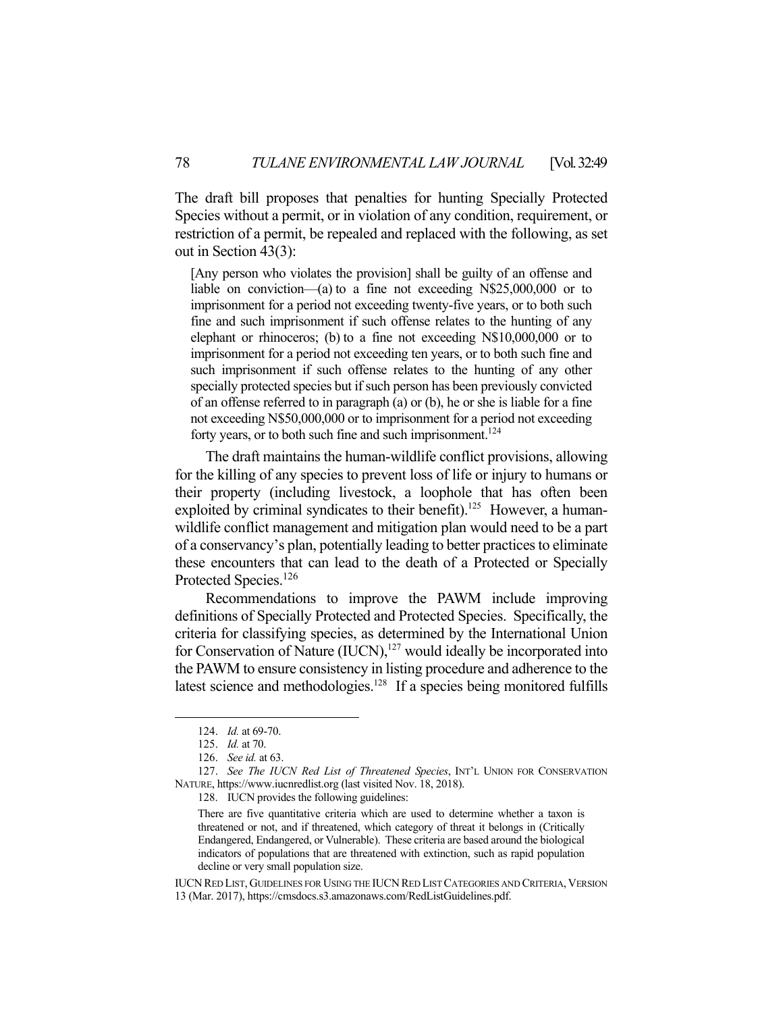The draft bill proposes that penalties for hunting Specially Protected Species without a permit, or in violation of any condition, requirement, or restriction of a permit, be repealed and replaced with the following, as set out in Section 43(3):

[Any person who violates the provision] shall be guilty of an offense and liable on conviction—(a) to a fine not exceeding N\$25,000,000 or to imprisonment for a period not exceeding twenty-five years, or to both such fine and such imprisonment if such offense relates to the hunting of any elephant or rhinoceros; (b) to a fine not exceeding N\$10,000,000 or to imprisonment for a period not exceeding ten years, or to both such fine and such imprisonment if such offense relates to the hunting of any other specially protected species but if such person has been previously convicted of an offense referred to in paragraph (a) or (b), he or she is liable for a fine not exceeding N\$50,000,000 or to imprisonment for a period not exceeding forty years, or to both such fine and such imprisonment.<sup>124</sup>

 The draft maintains the human-wildlife conflict provisions, allowing for the killing of any species to prevent loss of life or injury to humans or their property (including livestock, a loophole that has often been exploited by criminal syndicates to their benefit).<sup>125</sup> However, a humanwildlife conflict management and mitigation plan would need to be a part of a conservancy's plan, potentially leading to better practices to eliminate these encounters that can lead to the death of a Protected or Specially Protected Species.<sup>126</sup>

 Recommendations to improve the PAWM include improving definitions of Specially Protected and Protected Species. Specifically, the criteria for classifying species, as determined by the International Union for Conservation of Nature  $(IUCN),<sup>127</sup>$  would ideally be incorporated into the PAWM to ensure consistency in listing procedure and adherence to the latest science and methodologies.<sup>128</sup> If a species being monitored fulfills

1

128. IUCN provides the following guidelines:

 <sup>124.</sup> *Id.* at 69-70.

 <sup>125.</sup> *Id.* at 70.

 <sup>126.</sup> *See id.* at 63.

 <sup>127.</sup> *See The IUCN Red List of Threatened Species*, INT'L UNION FOR CONSERVATION NATURE, https://www.iucnredlist.org (last visited Nov. 18, 2018).

There are five quantitative criteria which are used to determine whether a taxon is threatened or not, and if threatened, which category of threat it belongs in (Critically Endangered, Endangered, or Vulnerable). These criteria are based around the biological indicators of populations that are threatened with extinction, such as rapid population decline or very small population size.

IUCN RED LIST, GUIDELINES FOR USING THE IUCN RED LIST CATEGORIES AND CRITERIA, VERSION 13 (Mar. 2017), https://cmsdocs.s3.amazonaws.com/RedListGuidelines.pdf.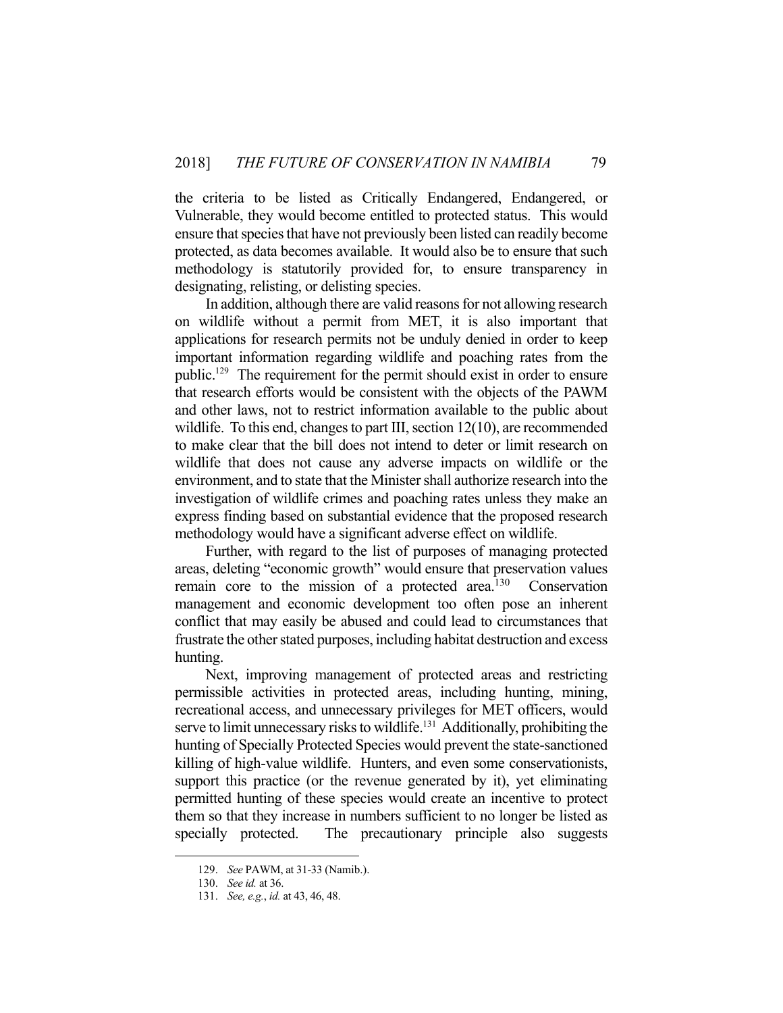the criteria to be listed as Critically Endangered, Endangered, or Vulnerable, they would become entitled to protected status. This would ensure that species that have not previously been listed can readily become protected, as data becomes available. It would also be to ensure that such methodology is statutorily provided for, to ensure transparency in designating, relisting, or delisting species.

 In addition, although there are valid reasons for not allowing research on wildlife without a permit from MET, it is also important that applications for research permits not be unduly denied in order to keep important information regarding wildlife and poaching rates from the public.129 The requirement for the permit should exist in order to ensure that research efforts would be consistent with the objects of the PAWM and other laws, not to restrict information available to the public about wildlife. To this end, changes to part III, section 12(10), are recommended to make clear that the bill does not intend to deter or limit research on wildlife that does not cause any adverse impacts on wildlife or the environment, and to state that the Minister shall authorize research into the investigation of wildlife crimes and poaching rates unless they make an express finding based on substantial evidence that the proposed research methodology would have a significant adverse effect on wildlife.

 Further, with regard to the list of purposes of managing protected areas, deleting "economic growth" would ensure that preservation values remain core to the mission of a protected area.<sup>130</sup> Conservation management and economic development too often pose an inherent conflict that may easily be abused and could lead to circumstances that frustrate the other stated purposes, including habitat destruction and excess hunting.

 Next, improving management of protected areas and restricting permissible activities in protected areas, including hunting, mining, recreational access, and unnecessary privileges for MET officers, would serve to limit unnecessary risks to wildlife.<sup>131</sup> Additionally, prohibiting the hunting of Specially Protected Species would prevent the state-sanctioned killing of high-value wildlife. Hunters, and even some conservationists, support this practice (or the revenue generated by it), yet eliminating permitted hunting of these species would create an incentive to protect them so that they increase in numbers sufficient to no longer be listed as specially protected. The precautionary principle also suggests

 <sup>129.</sup> *See* PAWM, at 31-33 (Namib.).

 <sup>130.</sup> *See id.* at 36.

 <sup>131.</sup> *See, e.g.*, *id.* at 43, 46, 48.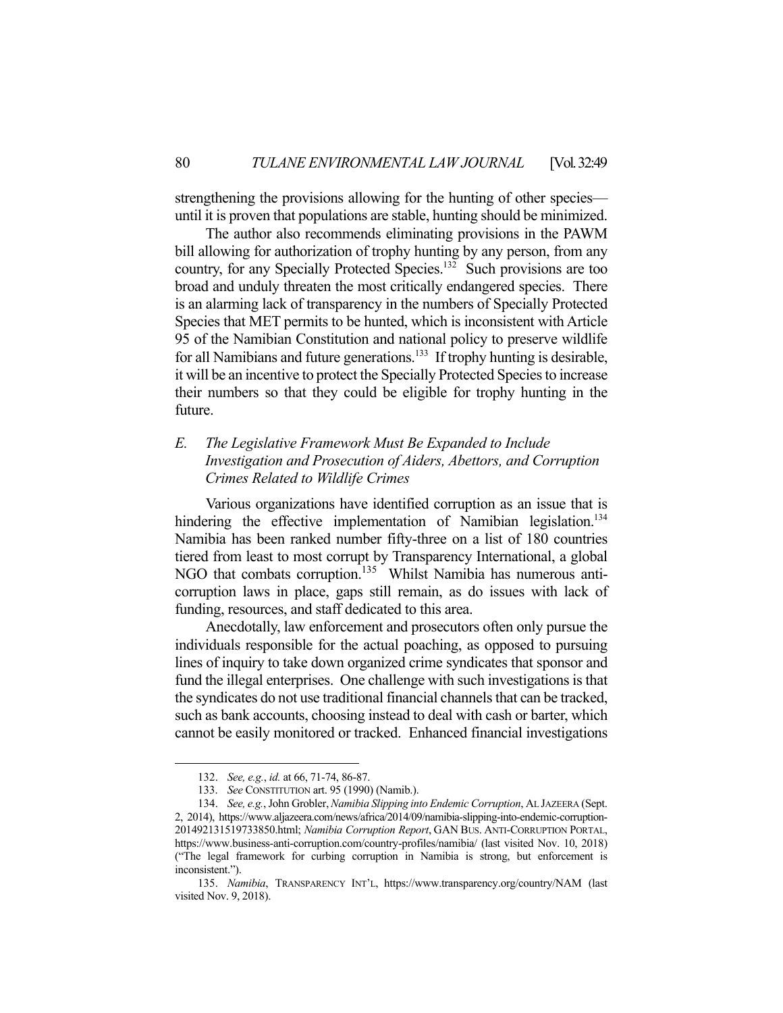strengthening the provisions allowing for the hunting of other species until it is proven that populations are stable, hunting should be minimized.

 The author also recommends eliminating provisions in the PAWM bill allowing for authorization of trophy hunting by any person, from any country, for any Specially Protected Species.132 Such provisions are too broad and unduly threaten the most critically endangered species. There is an alarming lack of transparency in the numbers of Specially Protected Species that MET permits to be hunted, which is inconsistent with Article 95 of the Namibian Constitution and national policy to preserve wildlife for all Namibians and future generations.<sup>133</sup> If trophy hunting is desirable, it will be an incentive to protect the Specially Protected Species to increase their numbers so that they could be eligible for trophy hunting in the future.

## *E. The Legislative Framework Must Be Expanded to Include Investigation and Prosecution of Aiders, Abettors, and Corruption Crimes Related to Wildlife Crimes*

Various organizations have identified corruption as an issue that is hindering the effective implementation of Namibian legislation.<sup>134</sup> Namibia has been ranked number fifty-three on a list of 180 countries tiered from least to most corrupt by Transparency International, a global NGO that combats corruption.<sup>135</sup> Whilst Namibia has numerous anticorruption laws in place, gaps still remain, as do issues with lack of funding, resources, and staff dedicated to this area.

 Anecdotally, law enforcement and prosecutors often only pursue the individuals responsible for the actual poaching, as opposed to pursuing lines of inquiry to take down organized crime syndicates that sponsor and fund the illegal enterprises. One challenge with such investigations is that the syndicates do not use traditional financial channels that can be tracked, such as bank accounts, choosing instead to deal with cash or barter, which cannot be easily monitored or tracked. Enhanced financial investigations

 <sup>132.</sup> *See, e.g.*, *id.* at 66, 71-74, 86-87.

 <sup>133.</sup> *See* CONSTITUTION art. 95 (1990) (Namib.).

 <sup>134.</sup> *See, e.g.*, John Grobler, *Namibia Slipping into Endemic Corruption*, AL JAZEERA (Sept. 2, 2014), https://www.aljazeera.com/news/africa/2014/09/namibia-slipping-into-endemic-corruption-201492131519733850.html; *Namibia Corruption Report*, GAN BUS. ANTI-CORRUPTION PORTAL, https://www.business-anti-corruption.com/country-profiles/namibia/ (last visited Nov. 10, 2018) ("The legal framework for curbing corruption in Namibia is strong, but enforcement is inconsistent.").

 <sup>135.</sup> *Namibia*, TRANSPARENCY INT'L, https://www.transparency.org/country/NAM (last visited Nov. 9, 2018).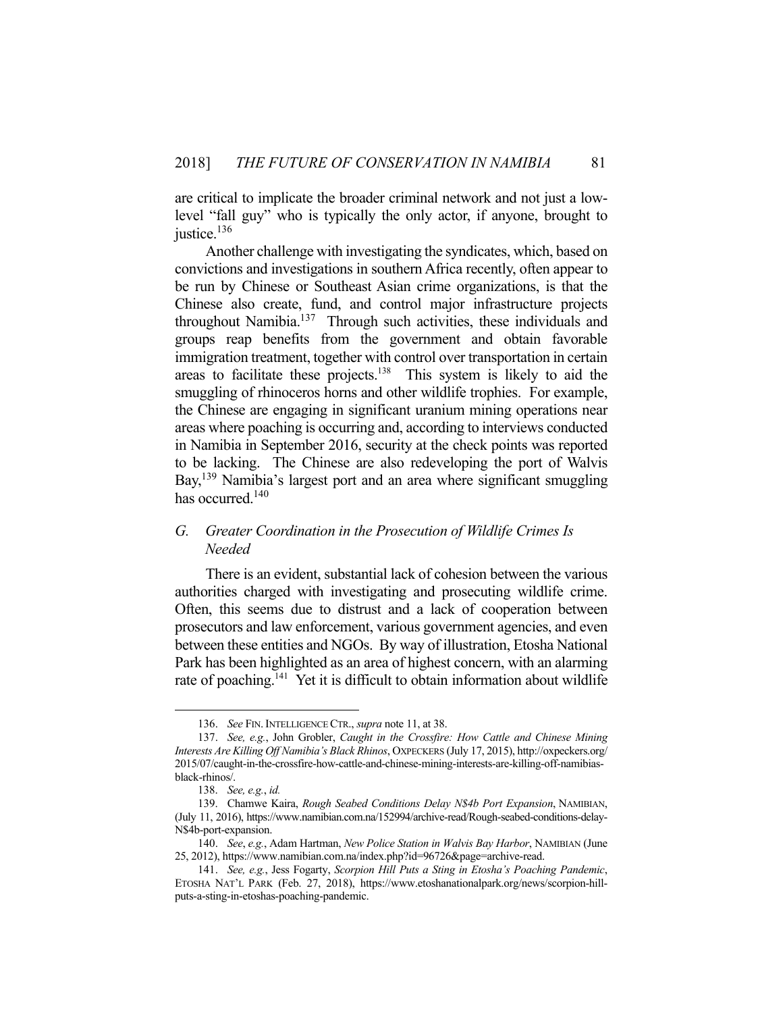are critical to implicate the broader criminal network and not just a lowlevel "fall guy" who is typically the only actor, if anyone, brought to justice.<sup>136</sup>

 Another challenge with investigating the syndicates, which, based on convictions and investigations in southern Africa recently, often appear to be run by Chinese or Southeast Asian crime organizations, is that the Chinese also create, fund, and control major infrastructure projects throughout Namibia.<sup>137</sup> Through such activities, these individuals and groups reap benefits from the government and obtain favorable immigration treatment, together with control over transportation in certain areas to facilitate these projects.138 This system is likely to aid the smuggling of rhinoceros horns and other wildlife trophies. For example, the Chinese are engaging in significant uranium mining operations near areas where poaching is occurring and, according to interviews conducted in Namibia in September 2016, security at the check points was reported to be lacking. The Chinese are also redeveloping the port of Walvis Bay,<sup>139</sup> Namibia's largest port and an area where significant smuggling has occurred.<sup>140</sup>

### *G. Greater Coordination in the Prosecution of Wildlife Crimes Is Needed*

 There is an evident, substantial lack of cohesion between the various authorities charged with investigating and prosecuting wildlife crime. Often, this seems due to distrust and a lack of cooperation between prosecutors and law enforcement, various government agencies, and even between these entities and NGOs. By way of illustration, Etosha National Park has been highlighted as an area of highest concern, with an alarming rate of poaching.<sup>141</sup> Yet it is difficult to obtain information about wildlife

 <sup>136.</sup> *See* FIN.INTELLIGENCE CTR., *supra* note 11, at 38.

 <sup>137.</sup> *See, e.g.*, John Grobler, *Caught in the Crossfire: How Cattle and Chinese Mining Interests Are Killing Off Namibia's Black Rhinos*, OXPECKERS (July 17, 2015), http://oxpeckers.org/ 2015/07/caught-in-the-crossfire-how-cattle-and-chinese-mining-interests-are-killing-off-namibiasblack-rhinos/.

 <sup>138.</sup> *See, e.g.*, *id.*

 <sup>139.</sup> Chamwe Kaira, *Rough Seabed Conditions Delay N\$4b Port Expansion*, NAMIBIAN, (July 11, 2016), https://www.namibian.com.na/152994/archive-read/Rough-seabed-conditions-delay-N\$4b-port-expansion.

 <sup>140.</sup> *See*, *e.g.*, Adam Hartman, *New Police Station in Walvis Bay Harbor*, NAMIBIAN (June 25, 2012), https://www.namibian.com.na/index.php?id=96726&page=archive-read.

 <sup>141.</sup> *See, e.g.*, Jess Fogarty, *Scorpion Hill Puts a Sting in Etosha's Poaching Pandemic*, ETOSHA NAT'L PARK (Feb. 27, 2018), https://www.etoshanationalpark.org/news/scorpion-hillputs-a-sting-in-etoshas-poaching-pandemic.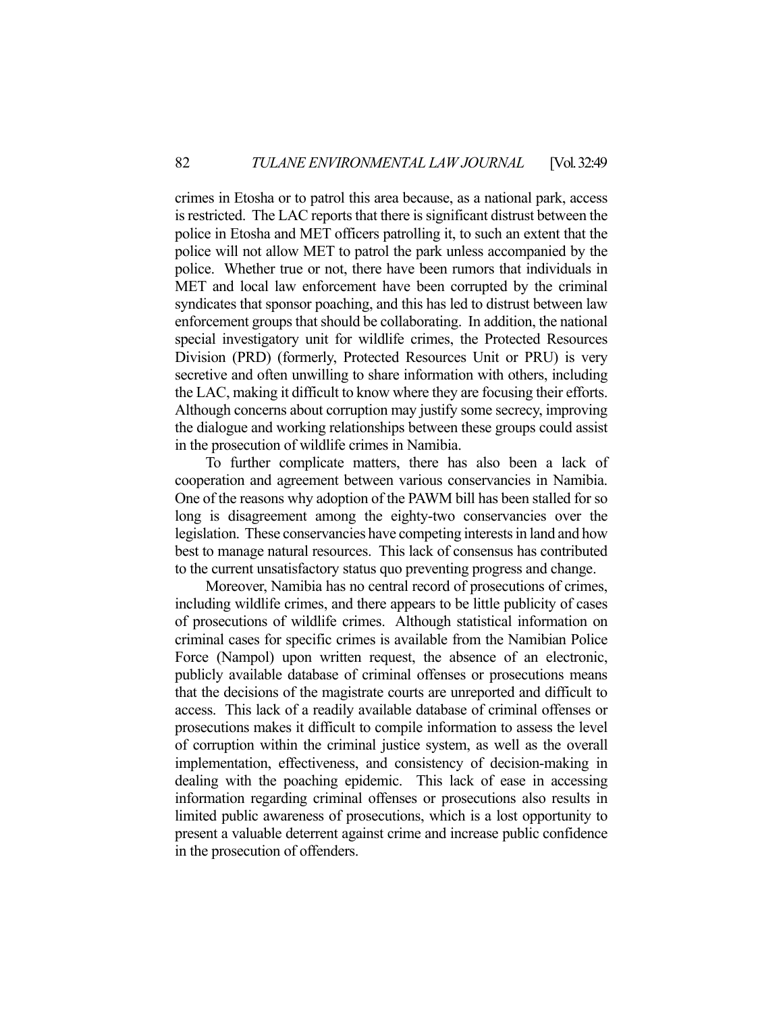crimes in Etosha or to patrol this area because, as a national park, access is restricted. The LAC reports that there is significant distrust between the police in Etosha and MET officers patrolling it, to such an extent that the police will not allow MET to patrol the park unless accompanied by the police. Whether true or not, there have been rumors that individuals in MET and local law enforcement have been corrupted by the criminal syndicates that sponsor poaching, and this has led to distrust between law enforcement groups that should be collaborating. In addition, the national special investigatory unit for wildlife crimes, the Protected Resources Division (PRD) (formerly, Protected Resources Unit or PRU) is very secretive and often unwilling to share information with others, including the LAC, making it difficult to know where they are focusing their efforts. Although concerns about corruption may justify some secrecy, improving the dialogue and working relationships between these groups could assist in the prosecution of wildlife crimes in Namibia.

 To further complicate matters, there has also been a lack of cooperation and agreement between various conservancies in Namibia. One of the reasons why adoption of the PAWM bill has been stalled for so long is disagreement among the eighty-two conservancies over the legislation. These conservancies have competing interests in land and how best to manage natural resources. This lack of consensus has contributed to the current unsatisfactory status quo preventing progress and change.

 Moreover, Namibia has no central record of prosecutions of crimes, including wildlife crimes, and there appears to be little publicity of cases of prosecutions of wildlife crimes. Although statistical information on criminal cases for specific crimes is available from the Namibian Police Force (Nampol) upon written request, the absence of an electronic, publicly available database of criminal offenses or prosecutions means that the decisions of the magistrate courts are unreported and difficult to access. This lack of a readily available database of criminal offenses or prosecutions makes it difficult to compile information to assess the level of corruption within the criminal justice system, as well as the overall implementation, effectiveness, and consistency of decision-making in dealing with the poaching epidemic. This lack of ease in accessing information regarding criminal offenses or prosecutions also results in limited public awareness of prosecutions, which is a lost opportunity to present a valuable deterrent against crime and increase public confidence in the prosecution of offenders.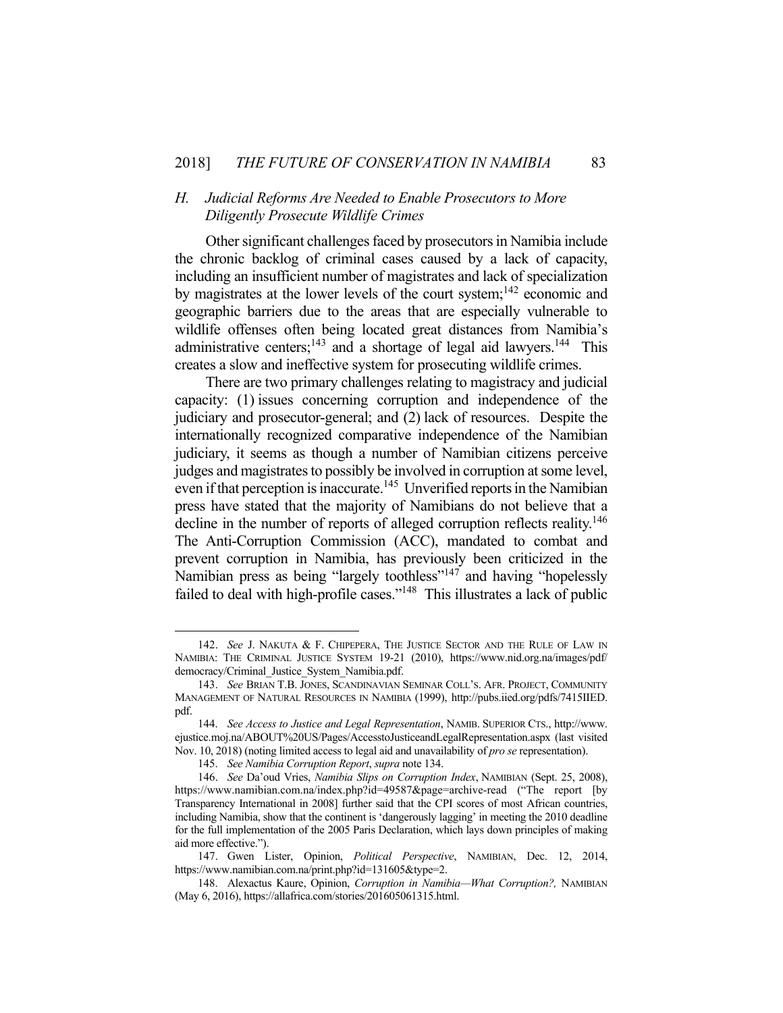#### *H. Judicial Reforms Are Needed to Enable Prosecutors to More Diligently Prosecute Wildlife Crimes*

 Other significant challenges faced by prosecutors in Namibia include the chronic backlog of criminal cases caused by a lack of capacity, including an insufficient number of magistrates and lack of specialization by magistrates at the lower levels of the court system; $142$  economic and geographic barriers due to the areas that are especially vulnerable to wildlife offenses often being located great distances from Namibia's administrative centers;<sup>143</sup> and a shortage of legal aid lawyers.<sup>144</sup> This creates a slow and ineffective system for prosecuting wildlife crimes.

 There are two primary challenges relating to magistracy and judicial capacity: (1) issues concerning corruption and independence of the judiciary and prosecutor-general; and (2) lack of resources. Despite the internationally recognized comparative independence of the Namibian judiciary, it seems as though a number of Namibian citizens perceive judges and magistrates to possibly be involved in corruption at some level, even if that perception is inaccurate.<sup>145</sup> Unverified reports in the Namibian press have stated that the majority of Namibians do not believe that a decline in the number of reports of alleged corruption reflects reality.<sup>146</sup> The Anti-Corruption Commission (ACC), mandated to combat and prevent corruption in Namibia, has previously been criticized in the Namibian press as being "largely toothless"<sup>147</sup> and having "hopelessly failed to deal with high-profile cases."<sup>148</sup> This illustrates a lack of public

 <sup>142.</sup> *See* J. NAKUTA & F. CHIPEPERA, THE JUSTICE SECTOR AND THE RULE OF LAW IN NAMIBIA: THE CRIMINAL JUSTICE SYSTEM 19-21 (2010), https://www.nid.org.na/images/pdf/ democracy/Criminal\_Justice\_System\_Namibia.pdf.

 <sup>143.</sup> *See* BRIAN T.B. JONES, SCANDINAVIAN SEMINAR COLL'S. AFR. PROJECT, COMMUNITY MANAGEMENT OF NATURAL RESOURCES IN NAMIBIA (1999), http://pubs.iied.org/pdfs/7415IIED. pdf.

 <sup>144.</sup> *See Access to Justice and Legal Representation*, NAMIB. SUPERIOR CTS., http://www. ejustice.moj.na/ABOUT%20US/Pages/AccesstoJusticeandLegalRepresentation.aspx (last visited Nov. 10, 2018) (noting limited access to legal aid and unavailability of *pro se* representation).

 <sup>145.</sup> *See Namibia Corruption Report*, *supra* note 134.

 <sup>146.</sup> *See* Da'oud Vries, *Namibia Slips on Corruption Index*, NAMIBIAN (Sept. 25, 2008), https://www.namibian.com.na/index.php?id=49587&page=archive-read ("The report [by Transparency International in 2008] further said that the CPI scores of most African countries, including Namibia, show that the continent is 'dangerously lagging' in meeting the 2010 deadline for the full implementation of the 2005 Paris Declaration, which lays down principles of making aid more effective.").

 <sup>147.</sup> Gwen Lister, Opinion, *Political Perspective*, NAMIBIAN, Dec. 12, 2014, https://www.namibian.com.na/print.php?id=131605&type=2.

 <sup>148.</sup> Alexactus Kaure, Opinion, *Corruption in Namibia—What Corruption?,* NAMIBIAN (May 6, 2016), https://allafrica.com/stories/201605061315.html.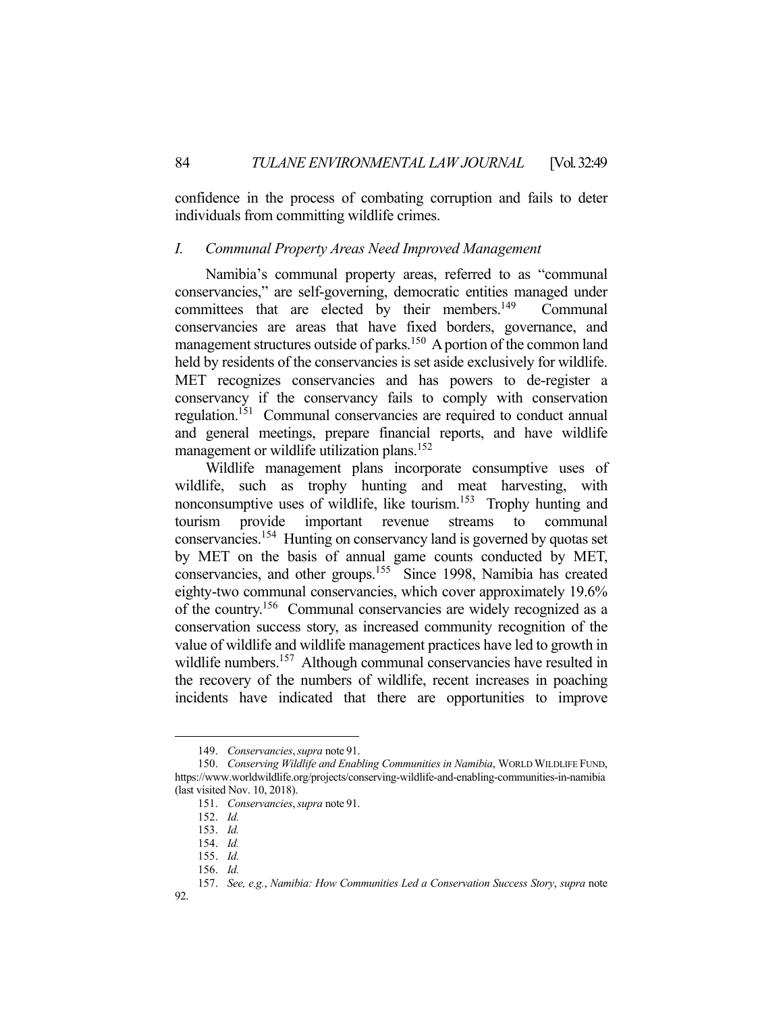confidence in the process of combating corruption and fails to deter individuals from committing wildlife crimes.

#### *I. Communal Property Areas Need Improved Management*

 Namibia's communal property areas, referred to as "communal conservancies," are self-governing, democratic entities managed under committees that are elected by their members.<sup>149</sup> Communal conservancies are areas that have fixed borders, governance, and management structures outside of parks.<sup>150</sup> A portion of the common land held by residents of the conservancies is set aside exclusively for wildlife. MET recognizes conservancies and has powers to de-register a conservancy if the conservancy fails to comply with conservation regulation.<sup>151</sup> Communal conservancies are required to conduct annual and general meetings, prepare financial reports, and have wildlife management or wildlife utilization plans.<sup>152</sup>

 Wildlife management plans incorporate consumptive uses of wildlife, such as trophy hunting and meat harvesting, with nonconsumptive uses of wildlife, like tourism.153 Trophy hunting and tourism provide important revenue streams to communal conservancies.154 Hunting on conservancy land is governed by quotas set by MET on the basis of annual game counts conducted by MET, conservancies, and other groups.<sup>155</sup> Since 1998, Namibia has created eighty-two communal conservancies, which cover approximately 19.6% of the country.156 Communal conservancies are widely recognized as a conservation success story, as increased community recognition of the value of wildlife and wildlife management practices have led to growth in wildlife numbers.<sup>157</sup> Although communal conservancies have resulted in the recovery of the numbers of wildlife, recent increases in poaching incidents have indicated that there are opportunities to improve

 <sup>149.</sup> *Conservancies*,*supra* note 91.

 <sup>150.</sup> *Conserving Wildlife and Enabling Communities in Namibia*, WORLD WILDLIFE FUND, https://www.worldwildlife.org/projects/conserving-wildlife-and-enabling-communities-in-namibia (last visited Nov. 10, 2018).

 <sup>151.</sup> *Conservancies*,*supra* note 91.

 <sup>152.</sup> *Id.*

 <sup>153.</sup> *Id.*

 <sup>154.</sup> *Id.*

 <sup>155.</sup> *Id.*

 <sup>156.</sup> *Id.*

 <sup>157.</sup> *See, e.g.*, *Namibia: How Communities Led a Conservation Success Story*, *supra* note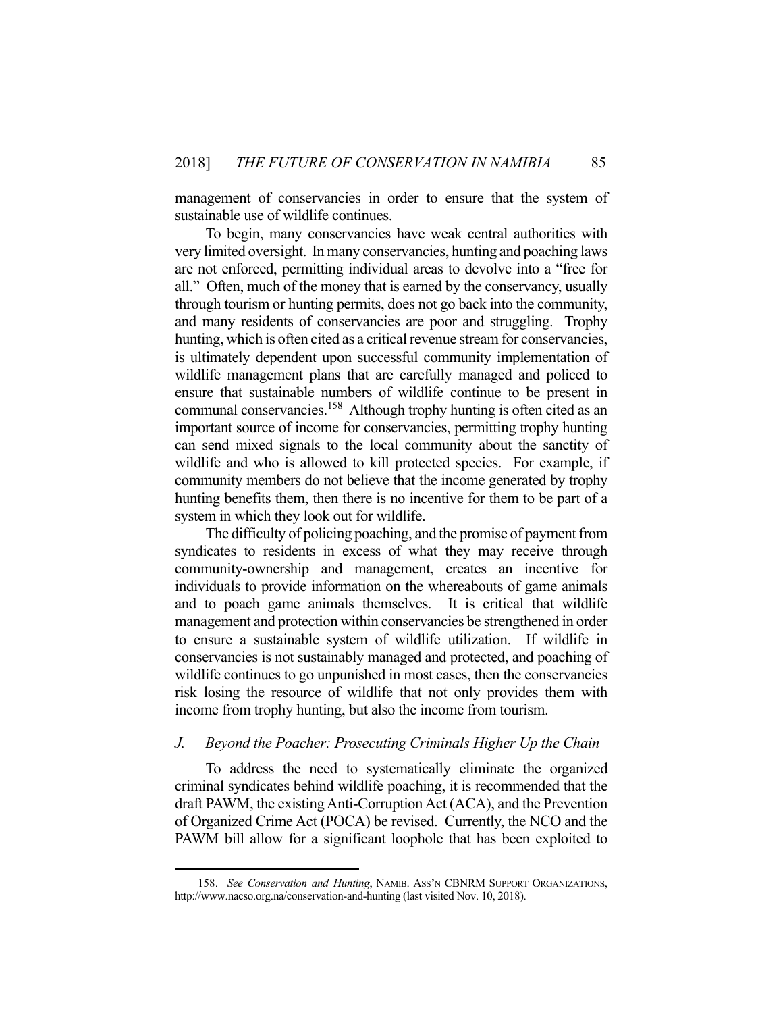management of conservancies in order to ensure that the system of sustainable use of wildlife continues.

 To begin, many conservancies have weak central authorities with very limited oversight. In many conservancies, hunting and poaching laws are not enforced, permitting individual areas to devolve into a "free for all." Often, much of the money that is earned by the conservancy, usually through tourism or hunting permits, does not go back into the community, and many residents of conservancies are poor and struggling. Trophy hunting, which is often cited as a critical revenue stream for conservancies, is ultimately dependent upon successful community implementation of wildlife management plans that are carefully managed and policed to ensure that sustainable numbers of wildlife continue to be present in communal conservancies.<sup>158</sup> Although trophy hunting is often cited as an important source of income for conservancies, permitting trophy hunting can send mixed signals to the local community about the sanctity of wildlife and who is allowed to kill protected species. For example, if community members do not believe that the income generated by trophy hunting benefits them, then there is no incentive for them to be part of a system in which they look out for wildlife.

 The difficulty of policing poaching, and the promise of payment from syndicates to residents in excess of what they may receive through community-ownership and management, creates an incentive for individuals to provide information on the whereabouts of game animals and to poach game animals themselves. It is critical that wildlife management and protection within conservancies be strengthened in order to ensure a sustainable system of wildlife utilization. If wildlife in conservancies is not sustainably managed and protected, and poaching of wildlife continues to go unpunished in most cases, then the conservancies risk losing the resource of wildlife that not only provides them with income from trophy hunting, but also the income from tourism.

#### *J. Beyond the Poacher: Prosecuting Criminals Higher Up the Chain*

 To address the need to systematically eliminate the organized criminal syndicates behind wildlife poaching, it is recommended that the draft PAWM, the existing Anti-Corruption Act (ACA), and the Prevention of Organized Crime Act (POCA) be revised. Currently, the NCO and the PAWM bill allow for a significant loophole that has been exploited to

 <sup>158.</sup> *See Conservation and Hunting*, NAMIB. ASS'N CBNRM SUPPORT ORGANIZATIONS, http://www.nacso.org.na/conservation-and-hunting (last visited Nov. 10, 2018).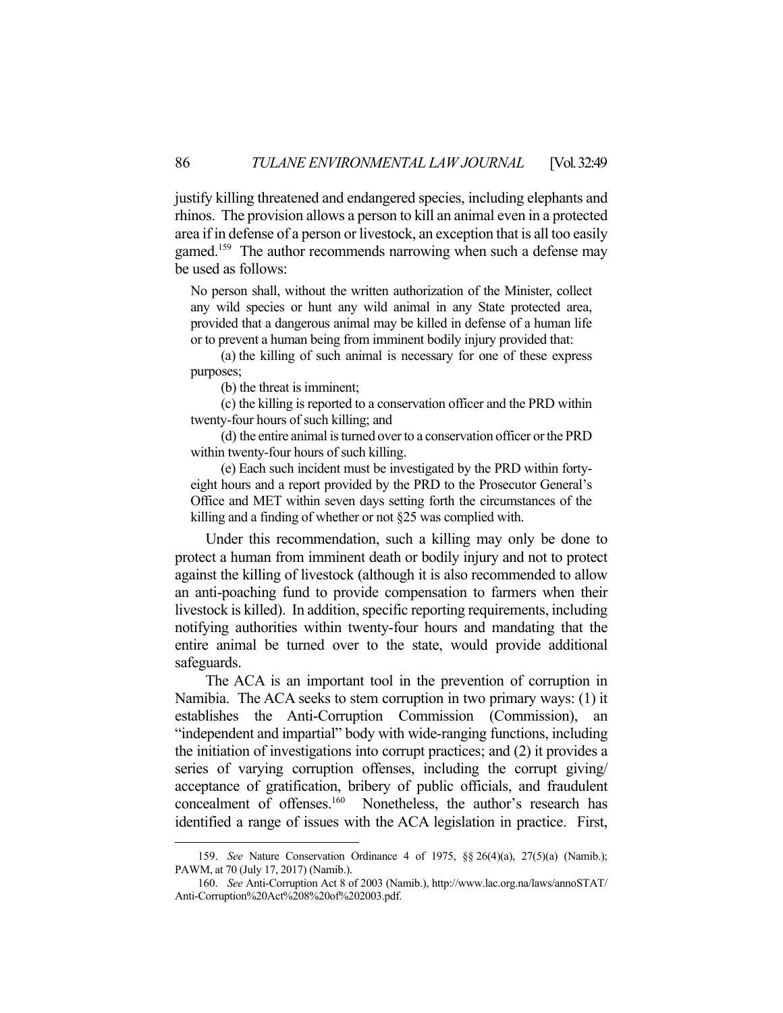justify killing threatened and endangered species, including elephants and rhinos. The provision allows a person to kill an animal even in a protected area if in defense of a person or livestock, an exception that is all too easily gamed.<sup>159</sup> The author recommends narrowing when such a defense may be used as follows:

No person shall, without the written authorization of the Minister, collect any wild species or hunt any wild animal in any State protected area, provided that a dangerous animal may be killed in defense of a human life or to prevent a human being from imminent bodily injury provided that:

 (a) the killing of such animal is necessary for one of these express purposes;

(b) the threat is imminent;

1

 (c) the killing is reported to a conservation officer and the PRD within twenty-four hours of such killing; and

 (d) the entire animal is turned over to a conservation officer or the PRD within twenty-four hours of such killing.

 (e) Each such incident must be investigated by the PRD within fortyeight hours and a report provided by the PRD to the Prosecutor General's Office and MET within seven days setting forth the circumstances of the killing and a finding of whether or not §25 was complied with.

 Under this recommendation, such a killing may only be done to protect a human from imminent death or bodily injury and not to protect against the killing of livestock (although it is also recommended to allow an anti-poaching fund to provide compensation to farmers when their livestock is killed). In addition, specific reporting requirements, including notifying authorities within twenty-four hours and mandating that the entire animal be turned over to the state, would provide additional safeguards.

 The ACA is an important tool in the prevention of corruption in Namibia. The ACA seeks to stem corruption in two primary ways: (1) it establishes the Anti-Corruption Commission (Commission), an "independent and impartial" body with wide-ranging functions, including the initiation of investigations into corrupt practices; and (2) it provides a series of varying corruption offenses, including the corrupt giving/ acceptance of gratification, bribery of public officials, and fraudulent concealment of offenses.<sup>160</sup> Nonetheless, the author's research has identified a range of issues with the ACA legislation in practice. First,

 <sup>159.</sup> *See* Nature Conservation Ordinance 4 of 1975, §§ 26(4)(a), 27(5)(a) (Namib.); PAWM, at 70 (July 17, 2017) (Namib.).

 <sup>160.</sup> *See* Anti-Corruption Act 8 of 2003 (Namib.), http://www.lac.org.na/laws/annoSTAT/ Anti-Corruption%20Act%208%20of%202003.pdf.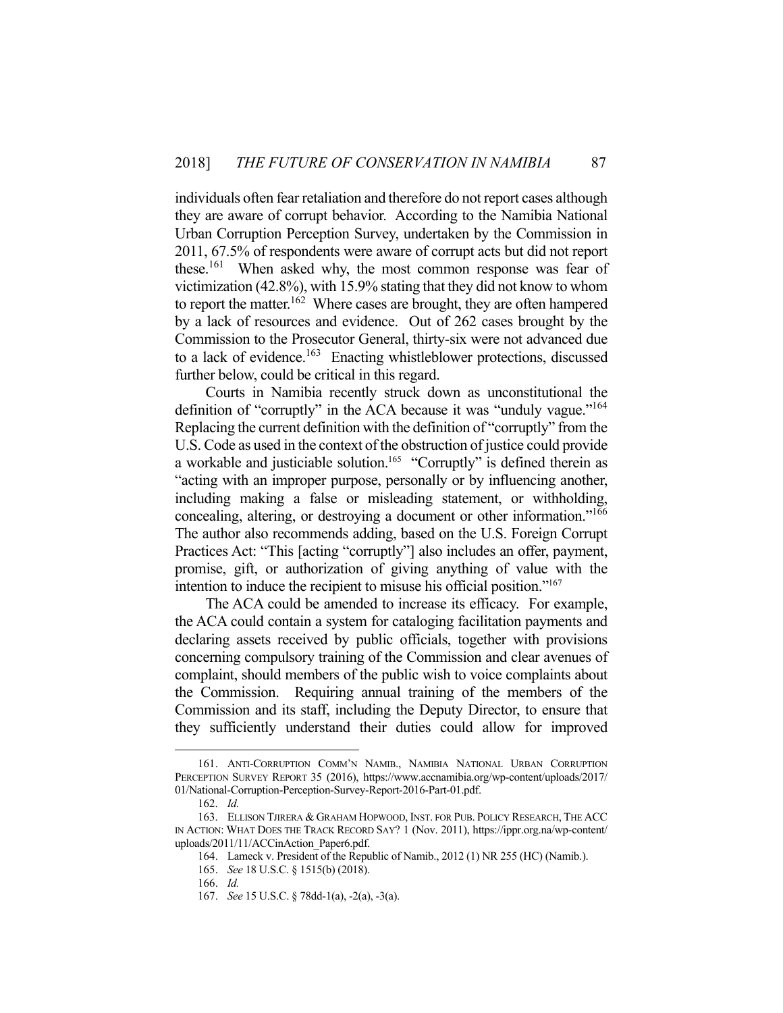individuals often fear retaliation and therefore do not report cases although they are aware of corrupt behavior. According to the Namibia National Urban Corruption Perception Survey, undertaken by the Commission in 2011, 67.5% of respondents were aware of corrupt acts but did not report these.<sup>161</sup> When asked why, the most common response was fear of victimization (42.8%), with 15.9% stating that they did not know to whom to report the matter.<sup>162</sup> Where cases are brought, they are often hampered by a lack of resources and evidence. Out of 262 cases brought by the Commission to the Prosecutor General, thirty-six were not advanced due to a lack of evidence.<sup>163</sup> Enacting whistleblower protections, discussed further below, could be critical in this regard.

 Courts in Namibia recently struck down as unconstitutional the definition of "corruptly" in the ACA because it was "unduly vague."<sup>164</sup> Replacing the current definition with the definition of "corruptly" from the U.S. Code as used in the context of the obstruction of justice could provide a workable and justiciable solution.<sup>165</sup> "Corruptly" is defined therein as "acting with an improper purpose, personally or by influencing another, including making a false or misleading statement, or withholding, concealing, altering, or destroying a document or other information."166 The author also recommends adding, based on the U.S. Foreign Corrupt Practices Act: "This [acting "corruptly"] also includes an offer, payment, promise, gift, or authorization of giving anything of value with the intention to induce the recipient to misuse his official position."167

 The ACA could be amended to increase its efficacy. For example, the ACA could contain a system for cataloging facilitation payments and declaring assets received by public officials, together with provisions concerning compulsory training of the Commission and clear avenues of complaint, should members of the public wish to voice complaints about the Commission. Requiring annual training of the members of the Commission and its staff, including the Deputy Director, to ensure that they sufficiently understand their duties could allow for improved

 <sup>161.</sup> ANTI-CORRUPTION COMM'N NAMIB., NAMIBIA NATIONAL URBAN CORRUPTION PERCEPTION SURVEY REPORT 35 (2016), https://www.accnamibia.org/wp-content/uploads/2017/ 01/National-Corruption-Perception-Survey-Report-2016-Part-01.pdf.

 <sup>162.</sup> *Id.*

 <sup>163.</sup> ELLISON TJIRERA & GRAHAM HOPWOOD, INST. FOR PUB. POLICY RESEARCH, THE ACC IN ACTION: WHAT DOES THE TRACK RECORD SAY? 1 (Nov. 2011), https://ippr.org.na/wp-content/ uploads/2011/11/ACCinAction\_Paper6.pdf.

 <sup>164.</sup> Lameck v. President of the Republic of Namib., 2012 (1) NR 255 (HC) (Namib.).

 <sup>165.</sup> *See* 18 U.S.C. § 1515(b) (2018).

 <sup>166.</sup> *Id.*

 <sup>167.</sup> *See* 15 U.S.C. § 78dd-1(a), -2(a), -3(a).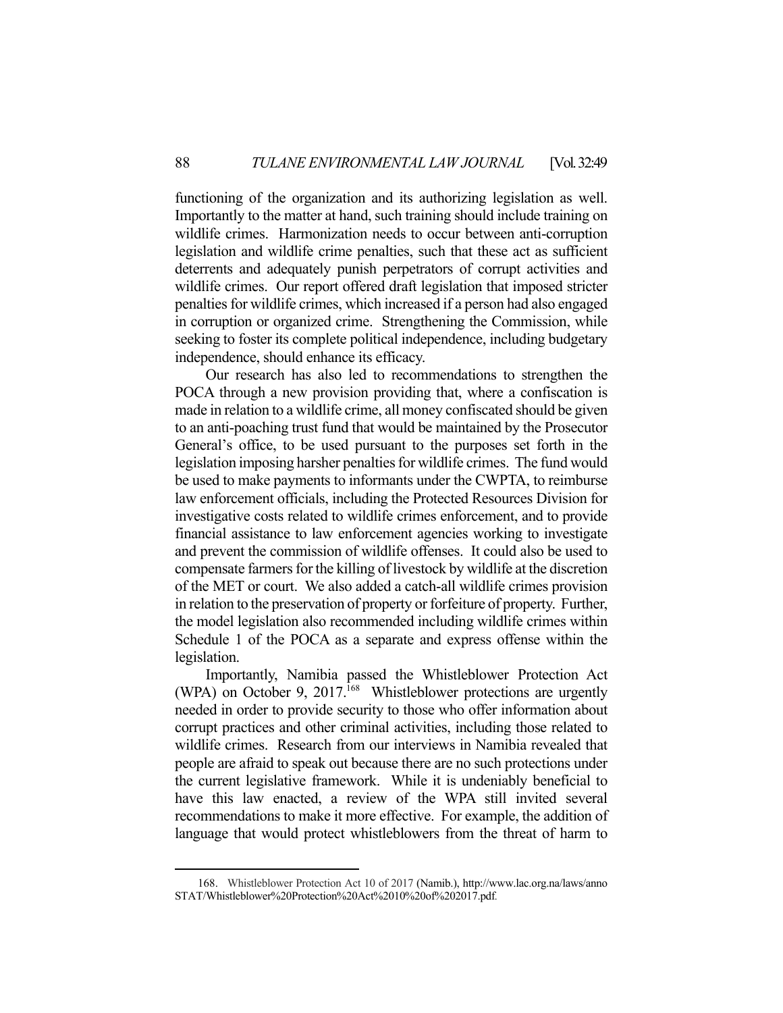functioning of the organization and its authorizing legislation as well. Importantly to the matter at hand, such training should include training on wildlife crimes. Harmonization needs to occur between anti-corruption legislation and wildlife crime penalties, such that these act as sufficient deterrents and adequately punish perpetrators of corrupt activities and wildlife crimes. Our report offered draft legislation that imposed stricter penalties for wildlife crimes, which increased if a person had also engaged in corruption or organized crime. Strengthening the Commission, while seeking to foster its complete political independence, including budgetary independence, should enhance its efficacy.

 Our research has also led to recommendations to strengthen the POCA through a new provision providing that, where a confiscation is made in relation to a wildlife crime, all money confiscated should be given to an anti-poaching trust fund that would be maintained by the Prosecutor General's office, to be used pursuant to the purposes set forth in the legislation imposing harsher penalties for wildlife crimes. The fund would be used to make payments to informants under the CWPTA, to reimburse law enforcement officials, including the Protected Resources Division for investigative costs related to wildlife crimes enforcement, and to provide financial assistance to law enforcement agencies working to investigate and prevent the commission of wildlife offenses. It could also be used to compensate farmers for the killing of livestock by wildlife at the discretion of the MET or court. We also added a catch-all wildlife crimes provision in relation to the preservation of property or forfeiture of property. Further, the model legislation also recommended including wildlife crimes within Schedule 1 of the POCA as a separate and express offense within the legislation.

 Importantly, Namibia passed the Whistleblower Protection Act (WPA) on October 9, 2017.<sup>168</sup> Whistleblower protections are urgently needed in order to provide security to those who offer information about corrupt practices and other criminal activities, including those related to wildlife crimes. Research from our interviews in Namibia revealed that people are afraid to speak out because there are no such protections under the current legislative framework. While it is undeniably beneficial to have this law enacted, a review of the WPA still invited several recommendations to make it more effective. For example, the addition of language that would protect whistleblowers from the threat of harm to

 <sup>168.</sup> Whistleblower Protection Act 10 of 2017 (Namib.), http://www.lac.org.na/laws/anno STAT/Whistleblower%20Protection%20Act%2010%20of%202017.pdf*.*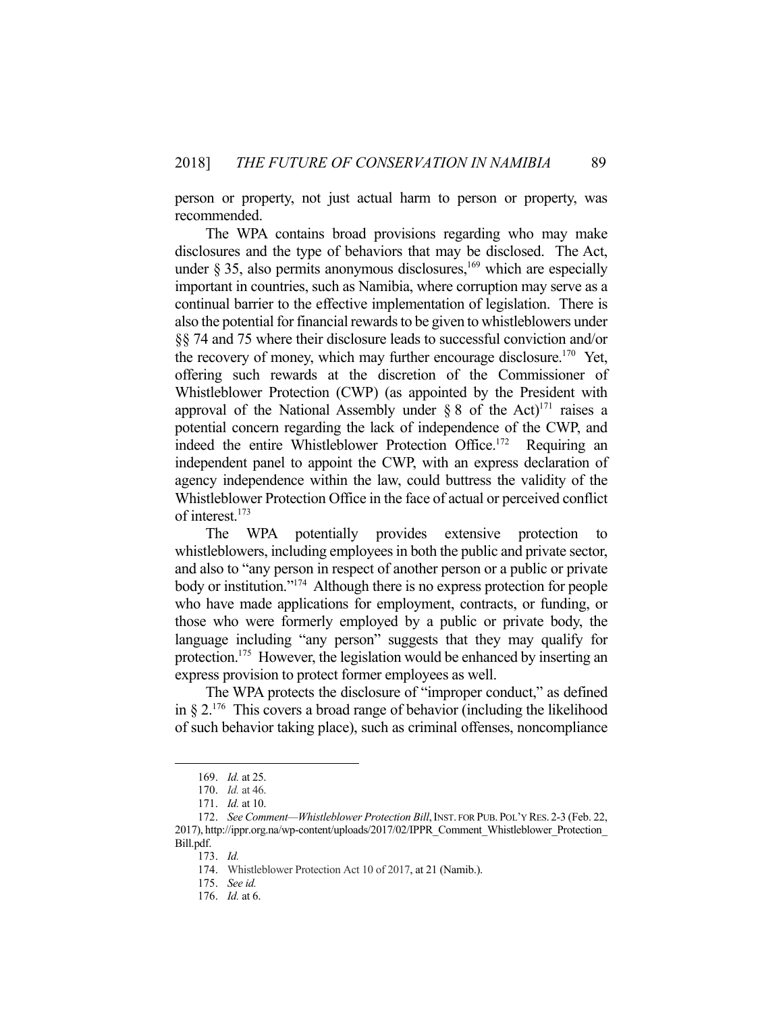person or property, not just actual harm to person or property, was recommended.

 The WPA contains broad provisions regarding who may make disclosures and the type of behaviors that may be disclosed. The Act, under  $\S 35$ , also permits anonymous disclosures,<sup>169</sup> which are especially important in countries, such as Namibia, where corruption may serve as a continual barrier to the effective implementation of legislation. There is also the potential for financial rewards to be given to whistleblowers under §§ 74 and 75 where their disclosure leads to successful conviction and/or the recovery of money, which may further encourage disclosure.<sup>170</sup> Yet, offering such rewards at the discretion of the Commissioner of Whistleblower Protection (CWP) (as appointed by the President with approval of the National Assembly under § 8 of the Act)<sup>171</sup> raises a potential concern regarding the lack of independence of the CWP, and indeed the entire Whistleblower Protection Office.<sup>172</sup> Requiring an independent panel to appoint the CWP, with an express declaration of agency independence within the law, could buttress the validity of the Whistleblower Protection Office in the face of actual or perceived conflict of interest.<sup>173</sup>

 The WPA potentially provides extensive protection to whistleblowers, including employees in both the public and private sector, and also to "any person in respect of another person or a public or private body or institution."174 Although there is no express protection for people who have made applications for employment, contracts, or funding, or those who were formerly employed by a public or private body, the language including "any person" suggests that they may qualify for protection.<sup>175</sup> However, the legislation would be enhanced by inserting an express provision to protect former employees as well.

 The WPA protects the disclosure of "improper conduct," as defined in § 2.176 This covers a broad range of behavior (including the likelihood of such behavior taking place), such as criminal offenses, noncompliance

 <sup>169.</sup> *Id.* at 25.

 <sup>170.</sup> *Id.* at 46.

 <sup>171.</sup> *Id.* at 10.

 <sup>172.</sup> *See Comment—Whistleblower Protection Bill*,INST. FOR PUB. POL'Y RES. 2-3 (Feb. 22, 2017), http://ippr.org.na/wp-content/uploads/2017/02/IPPR\_Comment\_Whistleblower\_Protection\_ Bill.pdf.

 <sup>173.</sup> *Id.* 

 <sup>174.</sup> Whistleblower Protection Act 10 of 2017, at 21 (Namib.).

 <sup>175.</sup> *See id.* 

 <sup>176.</sup> *Id.* at 6.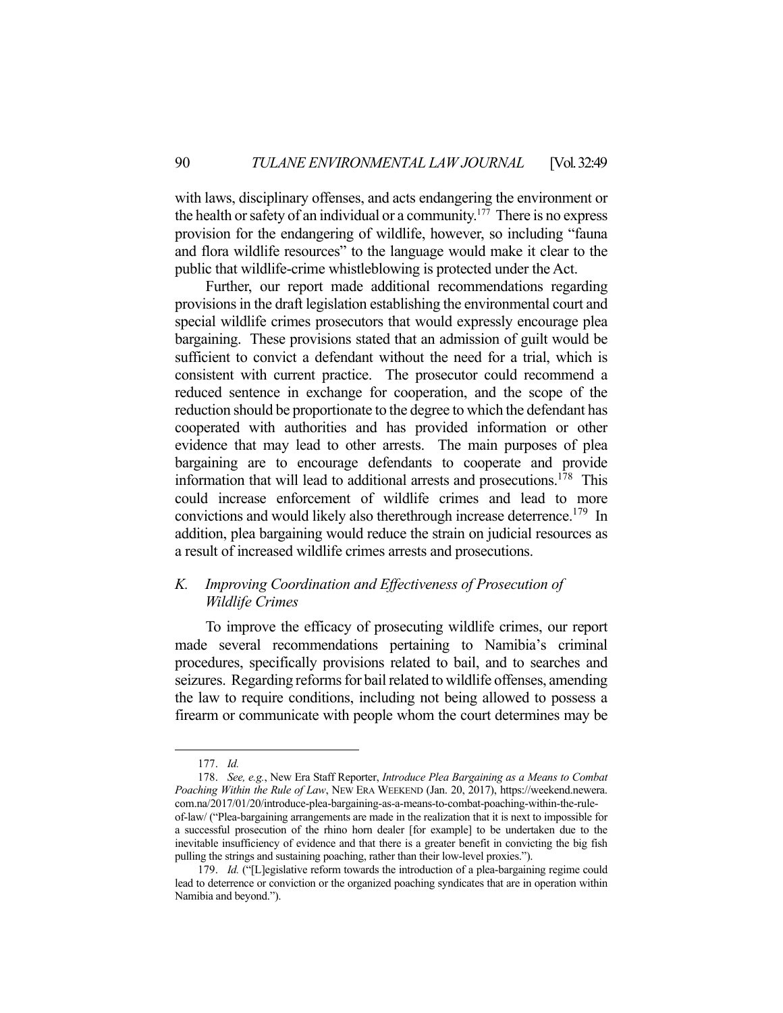with laws, disciplinary offenses, and acts endangering the environment or the health or safety of an individual or a community.<sup>177</sup> There is no express provision for the endangering of wildlife, however, so including "fauna and flora wildlife resources" to the language would make it clear to the public that wildlife-crime whistleblowing is protected under the Act.

 Further, our report made additional recommendations regarding provisions in the draft legislation establishing the environmental court and special wildlife crimes prosecutors that would expressly encourage plea bargaining. These provisions stated that an admission of guilt would be sufficient to convict a defendant without the need for a trial, which is consistent with current practice. The prosecutor could recommend a reduced sentence in exchange for cooperation, and the scope of the reduction should be proportionate to the degree to which the defendant has cooperated with authorities and has provided information or other evidence that may lead to other arrests. The main purposes of plea bargaining are to encourage defendants to cooperate and provide information that will lead to additional arrests and prosecutions.<sup>178</sup> This could increase enforcement of wildlife crimes and lead to more convictions and would likely also therethrough increase deterrence.<sup>179</sup> In addition, plea bargaining would reduce the strain on judicial resources as a result of increased wildlife crimes arrests and prosecutions.

## *K. Improving Coordination and Effectiveness of Prosecution of Wildlife Crimes*

 To improve the efficacy of prosecuting wildlife crimes, our report made several recommendations pertaining to Namibia's criminal procedures, specifically provisions related to bail, and to searches and seizures. Regarding reforms for bail related to wildlife offenses, amending the law to require conditions, including not being allowed to possess a firearm or communicate with people whom the court determines may be

1

 178. *See, e.g.*, New Era Staff Reporter, *Introduce Plea Bargaining as a Means to Combat Poaching Within the Rule of Law*, NEW ERA WEEKEND (Jan. 20, 2017), https://weekend.newera. com.na/2017/01/20/introduce-plea-bargaining-as-a-means-to-combat-poaching-within-the-ruleof-law/ ("Plea-bargaining arrangements are made in the realization that it is next to impossible for a successful prosecution of the rhino horn dealer [for example] to be undertaken due to the inevitable insufficiency of evidence and that there is a greater benefit in convicting the big fish pulling the strings and sustaining poaching, rather than their low-level proxies.").

 <sup>177.</sup> *Id.* 

 <sup>179.</sup> *Id.* ("[L]egislative reform towards the introduction of a plea-bargaining regime could lead to deterrence or conviction or the organized poaching syndicates that are in operation within Namibia and beyond.").